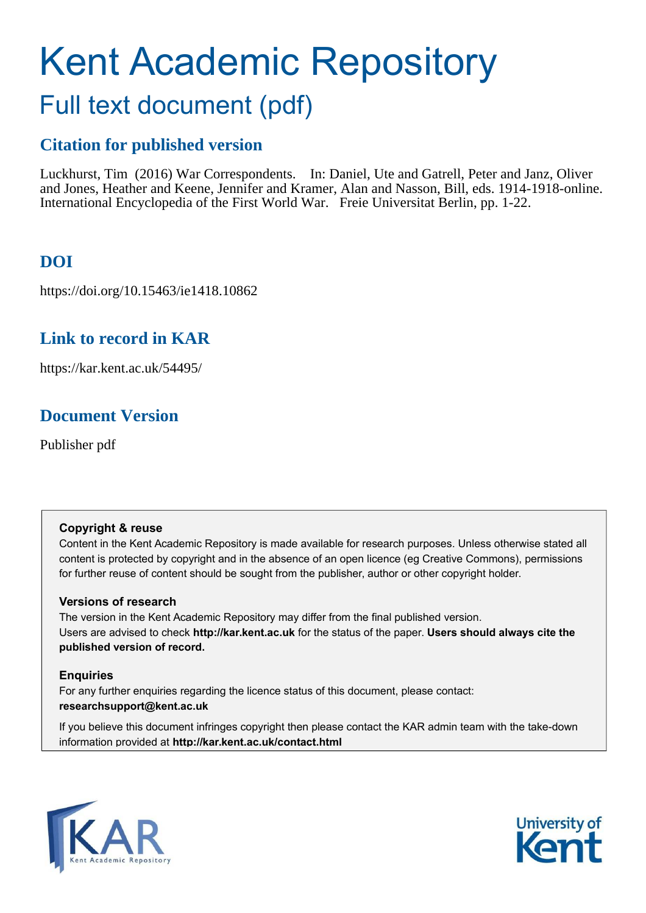# Kent Academic Repository Full text document (pdf)

### **Citation for published version**

Luckhurst, Tim (2016) War Correspondents. In: Daniel, Ute and Gatrell, Peter and Janz, Oliver and Jones, Heather and Keene, Jennifer and Kramer, Alan and Nasson, Bill, eds. 1914-1918-online. International Encyclopedia of the First World War. Freie Universitat Berlin, pp. 1-22.

## **DOI**

https://doi.org/10.15463/ie1418.10862

#### **Link to record in KAR**

https://kar.kent.ac.uk/54495/

#### **Document Version**

Publisher pdf

#### **Copyright & reuse**

Content in the Kent Academic Repository is made available for research purposes. Unless otherwise stated all content is protected by copyright and in the absence of an open licence (eg Creative Commons), permissions for further reuse of content should be sought from the publisher, author or other copyright holder.

#### **Versions of research**

The version in the Kent Academic Repository may differ from the final published version. Users are advised to check **http://kar.kent.ac.uk** for the status of the paper. **Users should always cite the published version of record.**

#### **Enquiries**

For any further enquiries regarding the licence status of this document, please contact: **researchsupport@kent.ac.uk**

If you believe this document infringes copyright then please contact the KAR admin team with the take-down information provided at **http://kar.kent.ac.uk/contact.html**



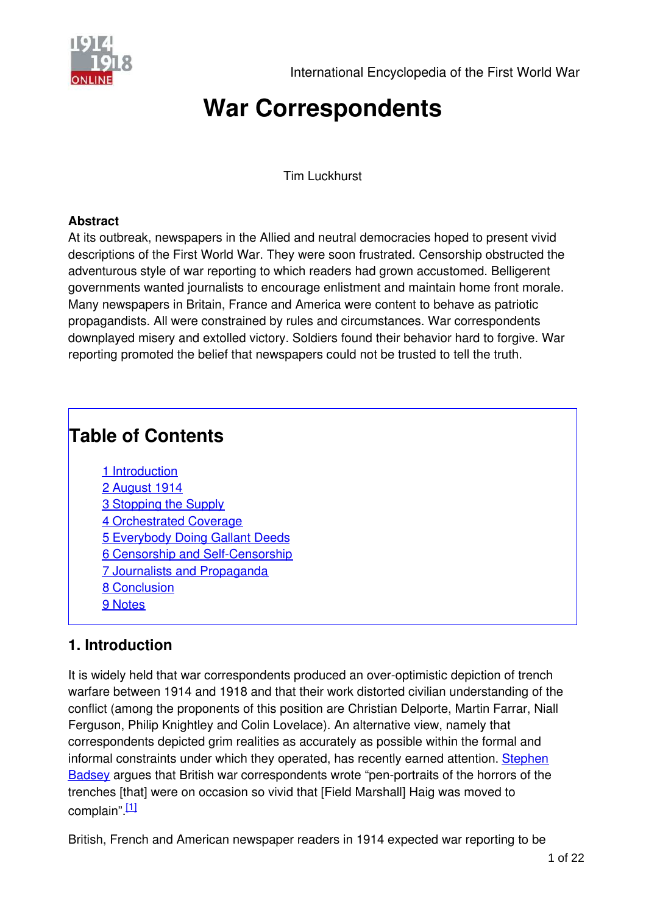

## **War Correspondents**

Tim Luckhurst

#### <span id="page-1-6"></span>**Abstract**

<span id="page-1-4"></span><span id="page-1-1"></span>At its outbreak, newspapers in the Allied and neutral democracies hoped to present vivid descriptions of the First World War. They were soon frustrated. Censorship obstructed the adventurous style of war reporting to which readers had grown accustomed. Belligerent governments wanted journalists to encourage enlistment and maintain home front morale. Many newspapers in Britain, France and America were content to behave as patriotic propagandists. All were constrained by rules and circumstances. War correspondents downplayed misery and extolled victory. Soldiers found their behavior hard to forgive. War reporting promoted the belief that newspapers could not be trusted to tell the truth.

## <span id="page-1-5"></span>**Table of Contents**

- <span id="page-1-8"></span><span id="page-1-7"></span><span id="page-1-3"></span><span id="page-1-2"></span>1 [Introduction](#page-1-0) 2 [August 1914](#page-1-1) 3 [Stopping the Supply](#page-1-2) 4 [Orchestrated Coverage](#page-1-3) 5 [Everybody Doing Gallant Deeds](#page-1-4) 6 [Censorship and Self-Censorship](#page-1-5) 7 [Journalists and Propaganda](#page-1-0) 8 [Conclusion](#page-1-6)
- 
- 9 [Notes](#page-1-7)

#### <span id="page-1-0"></span>**1. Introduction**

It is widely held that war correspondents produced an over-optimistic depiction of trench warfare between 1914 and 1918 and that their work distorted civilian understanding of the conflict (among the proponents of this position are Christian Delporte, Martin Farrar, Niall Ferguson, Philip Knightley and Colin Lovelace). An alternative view, namely that correspondents depicted grim realities as accurately as possible within the formal and [informal constraints under which they operated, has recently earned attention. Stephen](http://editorial.1914-1918-online.net/smw/index.php/Project:Stephen_Badsey) Badsey argues that British war correspondents wrote "pen-portraits of the horrors of the trenches [that] were on occasion so vivid that [Field Marshall] Haig was moved to complain". $[1]$ 

British, French and American newspaper readers in 1914 expected war reporting to be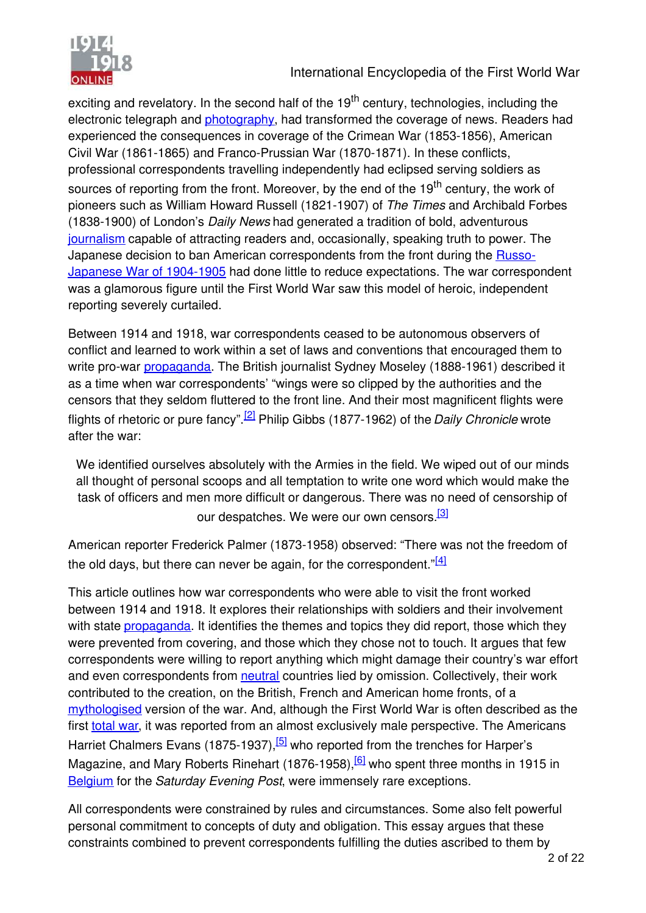

exciting and revelatory. In the second half of the  $19<sup>th</sup>$  century, technologies, including the electronic telegraph and [photography](http://editorial.1914-1918-online.net/smw/index.php/Photography), had transformed the coverage of news. Readers had experienced the consequences in coverage of the Crimean War (1853-1856), American Civil War (1861-1865) and Franco-Prussian War (1870-1871). In these conflicts, professional correspondents travelling independently had eclipsed serving soldiers as sources of reporting from the front. Moreover, by the end of the 19<sup>th</sup> century, the work of pioneers such as William Howard Russell (1821-1907) of *The Times* and Archibald Forbes (1838-1900) of London's *Daily News* had generated a tradition of bold, adventurous [journalism](http://editorial.1914-1918-online.net/smw/index.php/Press-Journalism) capable of attracting readers and, occasionally, speaking truth to power. The [Japanese decision to ban American correspondents from the front during the Russo-](http://editorial.1914-1918-online.net/smw/index.php/Russian-Japanese-War)Japanese War of 1904-1905 had done little to reduce expectations. The war correspondent was a glamorous figure until the First World War saw this model of heroic, independent reporting severely curtailed.

Between 1914 and 1918, war correspondents ceased to be autonomous observers of conflict and learned to work within a set of laws and conventions that encouraged them to write pro-war [propaganda](http://editorial.1914-1918-online.net/smw/index.php/PropagandaMedia_in_War_Politics). The British journalist Sydney Moseley (1888-1961) described it as a time when war correspondents' "wings were so clipped by the authorities and the censors that they seldom fluttered to the front line. And their most magnificent flights were flights of rhetoric or pure fancy".[\[2\]](#page-2-0) Philip Gibbs (1877-1962) of the *Daily Chronicle* wrote after the war:

We identified ourselves absolutely with the Armies in the field. We wiped out of our minds all thought of personal scoops and all temptation to write one word which would make the task of officers and men more difficult or dangerous. There was no need of censorship of our despatches. We were our own censors.<sup>[\[3\]](#page-2-1)</sup>

American reporter Frederick Palmer (1873-1958) observed: "There was not the freedom of the old days, but there can never be again, for the correspondent." $[4]$ 

<span id="page-2-4"></span><span id="page-2-3"></span><span id="page-2-2"></span><span id="page-2-1"></span><span id="page-2-0"></span>This article outlines how war correspondents who were able to visit the front worked between 1914 and 1918. It explores their relationships with soldiers and their involvement with state [propaganda.](http://editorial.1914-1918-online.net/smw/index.php/Propaganda_at_Home_and_Abroad) It identifies the themes and topics they did report, those which they were prevented from covering, and those which they chose not to touch. It argues that few correspondents were willing to report anything which might damage their country's war effort and even correspondents from [neutral](http://editorial.1914-1918-online.net/smw/index.php/Neutrality) countries lied by omission. Collectively, their work contributed to the creation, on the British, French and American home fronts, of a [mythologised](http://editorial.1914-1918-online.net/smw/index.php/Myths) version of the war. And, although the First World War is often described as the first [total war](http://editorial.1914-1918-online.net/smw/index.php/Controversy-Total_War), it was reported from an almost exclusively male perspective. The Americans Harriet Chalmers Evans (1875-1937), <sup>[\[5\]](#page-2-3)</sup> who reported from the trenches for Harper's Magazine, and Mary Roberts Rinehart (1876-1958),  $6$  who spent three months in 1915 in [Belgium](http://editorial.1914-1918-online.net/smw/index.php/Belgium) for the *Saturday Evening Post*, were immensely rare exceptions.

All correspondents were constrained by rules and circumstances. Some also felt powerful personal commitment to concepts of duty and obligation. This essay argues that these constraints combined to prevent correspondents fulfilling the duties ascribed to them by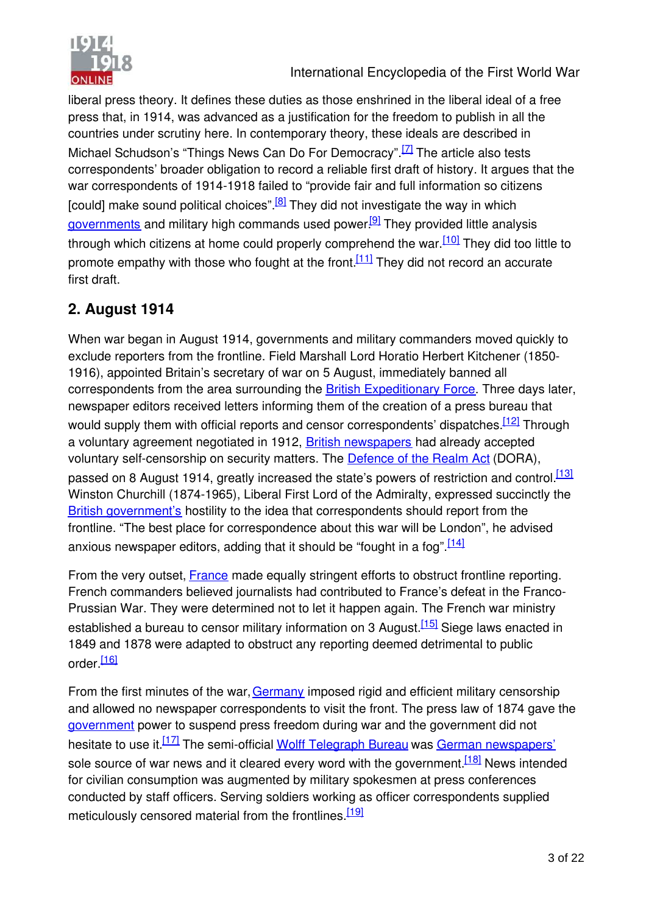

<span id="page-3-9"></span><span id="page-3-8"></span><span id="page-3-7"></span><span id="page-3-6"></span><span id="page-3-5"></span>liberal press theory. It defines these duties as those enshrined in the liberal ideal of a free press that, in 1914, was advanced as a justification for the freedom to publish in all the countries under scrutiny here. In contemporary theory, these ideals are described in Michael Schudson's "Things News Can Do For Democracy".<sup>[\[7\]](#page-3-0)</sup> The article also tests correspondents' broader obligation to record a reliable first draft of history. It argues that the war correspondents of 1914-1918 failed to "provide fair and full information so citizens [could] make sound political choices".<sup>[\[8\]](#page-3-1)</sup> They did not investigate the way in which [governments](http://editorial.1914-1918-online.net/smw/index.php/Governments,_Parliaments_and_Parties) and military high commands used power.<sup>[\[9\]](#page-3-2)</sup> They provided little analysis through which citizens at home could properly comprehend the war.<sup>[\[10\]](#page-3-3)</sup> They did too little to promote empathy with those who fought at the front.<sup>[\[11\]](#page-3-4)</sup> They did not record an accurate first draft.

## <span id="page-3-12"></span><span id="page-3-11"></span><span id="page-3-10"></span>**2. August 1914**

When war began in August 1914, governments and military commanders moved quickly to exclude reporters from the frontline. Field Marshall Lord Horatio Herbert Kitchener (1850- 1916), appointed Britain's secretary of war on 5 August, immediately banned all correspondents from the area surrounding the [British Expeditionary Force](http://editorial.1914-1918-online.net/smw/index.php/British_Expeditionary_Force). Three days later, newspaper editors received letters informing them of the creation of a press bureau that would supply them with official reports and censor correspondents' dispatches.<sup>[\[12\]](#page-3-5)</sup> Through a voluntary agreement negotiated in 1912, [British newspapers](http://editorial.1914-1918-online.net/smw/index.php/Press-Journalism_(Great_Britain_and_Ireland)) had already accepted voluntary self-censorship on security matters. The [Defence of the Realm Act](http://editorial.1914-1918-online.net/smw/index.php/Defence_of_the_Realm_Act_(DORA)) (DORA), passed on 8 August 1914, greatly increased the state's powers of restriction and control.<sup>[\[13\]](#page-3-6)</sup> Winston Churchill (1874-1965), Liberal First Lord of the Admiralty, expressed succinctly the [British government's](http://editorial.1914-1918-online.net/smw/index.php/Governments-Parliaments_and_Parties_(Great_Britain_and_Ireland)) hostility to the idea that correspondents should report from the frontline. "The best place for correspondence about this war will be London", he advised anxious newspaper editors, adding that it should be "fought in a fog".<sup>[\[14\]](#page-3-7)</sup>

From the very outset. [France](http://editorial.1914-1918-online.net/smw/index.php/France) made equally stringent efforts to obstruct frontline reporting. French commanders believed journalists had contributed to France's defeat in the Franco-Prussian War. They were determined not to let it happen again. The French war ministry established a bureau to censor military information on 3 August.<sup>[\[15\]](#page-3-8)</sup> Siege laws enacted in 1849 and 1878 were adapted to obstruct any reporting deemed detrimental to public order<sup>[\[16\]](#page-3-9)</sup>

<span id="page-3-4"></span><span id="page-3-3"></span><span id="page-3-2"></span><span id="page-3-1"></span><span id="page-3-0"></span>From the first minutes of the war, [Germany](http://editorial.1914-1918-online.net/smw/index.php/Germany) imposed rigid and efficient military censorship and allowed no newspaper correspondents to visit the front. The press law of 1874 gave the [government](http://editorial.1914-1918-online.net/smw/index.php/Governments-Parliaments_and_Parties_(Germany)) power to suspend press freedom during war and the government did not hesitate to use it.<sup>[\[17\]](#page-3-10)</sup> The semi-official [Wolff Telegraph Bureau](http://editorial.1914-1918-online.net/smw/index.php/Wolff_Telegraph_Bureau) was [German newspapers'](http://editorial.1914-1918-online.net/smw/index.php/Press-Journalism_(Germany)) sole source of war news and it cleared every word with the government.  $[18]$  News intended for civilian consumption was augmented by military spokesmen at press conferences conducted by staff officers. Serving soldiers working as officer correspondents supplied meticulously censored material from the frontlines.<sup>[\[19\]](#page-3-12)</sup>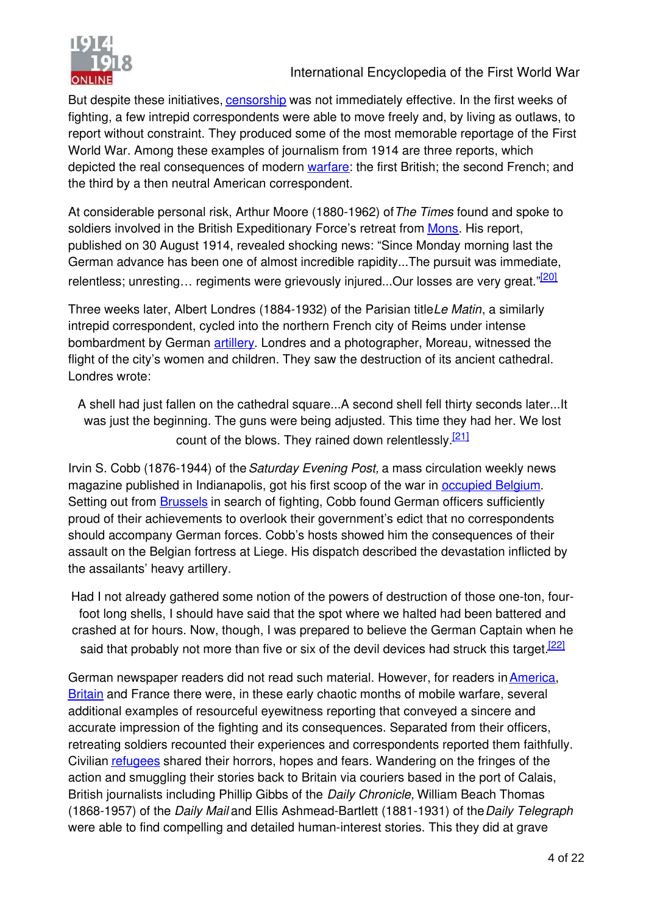

But despite these initiatives, [censorship](http://editorial.1914-1918-online.net/smw/index.php/Censorship) was not immediately effective. In the first weeks of fighting, a few intrepid correspondents were able to move freely and, by living as outlaws, to report without constraint. They produced some of the most memorable reportage of the First World War. Among these examples of journalism from 1914 are three reports, which depicted the real consequences of modern [warfare:](http://editorial.1914-1918-online.net/smw/index.php/Warfare_1914-1918) the first British; the second French; and the third by a then neutral American correspondent.

At considerable personal risk, Arthur Moore (1880-1962) of *The Times* found and spoke to soldiers involved in the British Expeditionary Force's retreat from [Mons](http://editorial.1914-1918-online.net/smw/index.php/Mons). His report, published on 30 August 1914, revealed shocking news: "Since Monday morning last the German advance has been one of almost incredible rapidity...The pursuit was immediate, relentless; unresting... regiments were grievously injured...Our losses are very great."<sup>[\[20\]](#page-4-0)</sup>

Three weeks later, Albert Londres (1884-1932) of the Parisian title *Le Matin*, a similarly intrepid correspondent, cycled into the northern French city of Reims under intense bombardment by German [artillery](http://editorial.1914-1918-online.net/smw/index.php/Artillery). Londres and a photographer, Moreau, witnessed the flight of the city's women and children. They saw the destruction of its ancient cathedral. Londres wrote:

A shell had just fallen on the cathedral square...A second shell fell thirty seconds later...It was just the beginning. The guns were being adjusted. This time they had her. We lost count of the blows. They rained down relentlessly.<sup>[\[21\]](#page-4-1)</sup>

<span id="page-4-2"></span><span id="page-4-1"></span><span id="page-4-0"></span>Irvin S. Cobb (1876-1944) of the *Saturday Evening Post,* a mass circulation weekly news magazine published in Indianapolis, got his first scoop of the war in [occupied Belgium](http://editorial.1914-1918-online.net/smw/index.php/Occupation_during_the_War_(Belgium_and_France)). Setting out from **Brussels** in search of fighting, Cobb found German officers sufficiently proud of their achievements to overlook their government's edict that no correspondents should accompany German forces. Cobb's hosts showed him the consequences of their assault on the Belgian fortress at Liege. His dispatch described the devastation inflicted by the assailants' heavy artillery.

Had I not already gathered some notion of the powers of destruction of those one-ton, fourfoot long shells, I should have said that the spot where we halted had been battered and crashed at for hours. Now, though, I was prepared to believe the German Captain when he said that probably not more than five or six of the devil devices had struck this target.<sup>[\[22\]](#page-4-2)</sup>

German newspaper readers did not read such material. However, for readers in [America](http://editorial.1914-1918-online.net/smw/index.php/United_States_of_America), [Britain](http://editorial.1914-1918-online.net/smw/index.php/Great_Britain) and France there were, in these early chaotic months of mobile warfare, several additional examples of resourceful eyewitness reporting that conveyed a sincere and accurate impression of the fighting and its consequences. Separated from their officers, retreating soldiers recounted their experiences and correspondents reported them faithfully. Civilian [refugees](http://editorial.1914-1918-online.net/smw/index.php/Refugees) shared their horrors, hopes and fears. Wandering on the fringes of the action and smuggling their stories back to Britain via couriers based in the port of Calais, British journalists including Phillip Gibbs of the *Daily Chronicle,* William Beach Thomas (1868-1957) of the *Daily Mail* and Ellis Ashmead-Bartlett (1881-1931) of the *Daily Telegraph* were able to find compelling and detailed human-interest stories. This they did at grave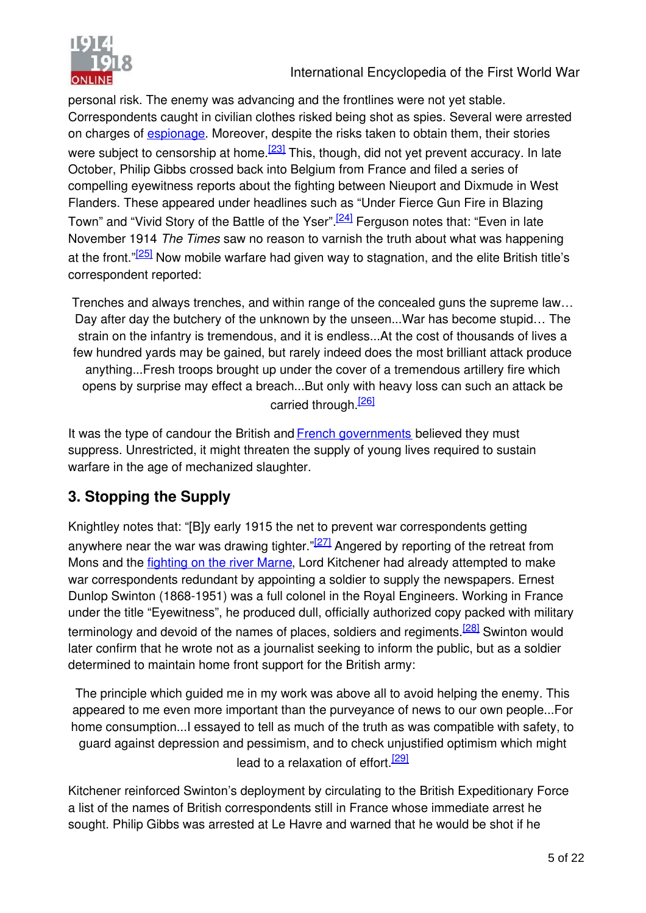

International Encyclopedia of the First World War

personal risk. The enemy was advancing and the frontlines were not yet stable. Correspondents caught in civilian clothes risked being shot as spies. Several were arrested on charges of **espionage**. Moreover, despite the risks taken to obtain them, their stories were subject to censorship at home.<sup>[\[23\]](#page-5-0)</sup> This, though, did not yet prevent accuracy. In late October, Philip Gibbs crossed back into Belgium from France and filed a series of compelling eyewitness reports about the fighting between Nieuport and Dixmude in West Flanders. These appeared under headlines such as "Under Fierce Gun Fire in Blazing Town" and "Vivid Story of the Battle of the Yser".<sup>[\[24\]](#page-5-1)</sup> Ferguson notes that: "Even in late November 1914 *The Times* saw no reason to varnish the truth about what was happening at the front."<sup>[\[25\]](#page-5-2)</sup> Now mobile warfare had given way to stagnation, and the elite British title's correspondent reported:

Trenches and always trenches, and within range of the concealed guns the supreme law… Day after day the butchery of the unknown by the unseen...War has become stupid… The strain on the infantry is tremendous, and it is endless...At the cost of thousands of lives a few hundred yards may be gained, but rarely indeed does the most brilliant attack produce anything...Fresh troops brought up under the cover of a tremendous artillery fire which opens by surprise may effect a breach...But only with heavy loss can such an attack be carried through.<sup>[\[26\]](#page-5-3)</sup>

It was the type of candour the British and [French governments](http://editorial.1914-1918-online.net/smw/index.php/Governments-Parliaments_and_Parties_(France)) believed they must suppress. Unrestricted, it might threaten the supply of young lives required to sustain warfare in the age of mechanized slaughter.

## **3. Stopping the Supply**

<span id="page-5-3"></span><span id="page-5-2"></span><span id="page-5-1"></span><span id="page-5-0"></span>Knightley notes that: "[B]y early 1915 the net to prevent war correspondents getting anywhere near the war was drawing tighter." $27$  Angered by reporting of the retreat from Mons and the [fighting on the river Marne](http://editorial.1914-1918-online.net/smw/index.php/Battles_of_the_Marne), Lord Kitchener had already attempted to make war correspondents redundant by appointing a soldier to supply the newspapers. Ernest Dunlop Swinton (1868-1951) was a full colonel in the Royal Engineers. Working in France under the title "Eyewitness", he produced dull, officially authorized copy packed with military terminology and devoid of the names of places, soldiers and regiments.<sup>[\[28\]](#page-5-5)</sup> Swinton would later confirm that he wrote not as a journalist seeking to inform the public, but as a soldier determined to maintain home front support for the British army:

<span id="page-5-6"></span><span id="page-5-5"></span><span id="page-5-4"></span>The principle which guided me in my work was above all to avoid helping the enemy. This appeared to me even more important than the purveyance of news to our own people...For home consumption...I essayed to tell as much of the truth as was compatible with safety, to guard against depression and pessimism, and to check unjustified optimism which might lead to a relaxation of effort.<sup>[\[29\]](#page-5-6)</sup>

Kitchener reinforced Swinton's deployment by circulating to the British Expeditionary Force a list of the names of British correspondents still in France whose immediate arrest he sought. Philip Gibbs was arrested at Le Havre and warned that he would be shot if he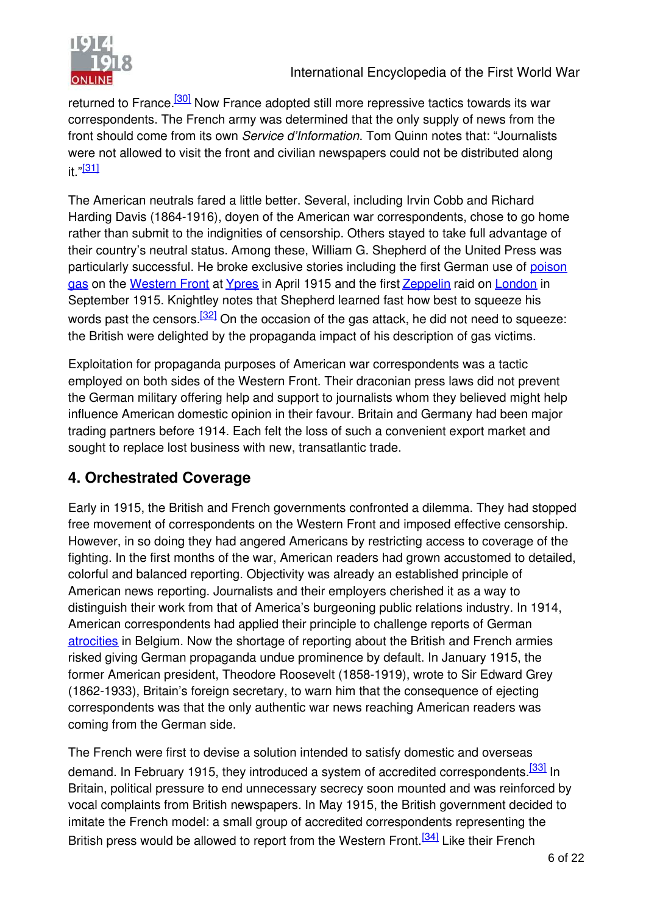

returned to France.<sup>[\[30\]](#page-6-0)</sup> Now France adopted still more repressive tactics towards its war correspondents. The French army was determined that the only supply of news from the front should come from its own *Service d'Information*. Tom Quinn notes that: "Journalists were not allowed to visit the front and civilian newspapers could not be distributed along it." $[31]$ 

The American neutrals fared a little better. Several, including Irvin Cobb and Richard Harding Davis (1864-1916), doyen of the American war correspondents, chose to go home rather than submit to the indignities of censorship. Others stayed to take full advantage of their country's neutral status. Among these, William G. Shepherd of the United Press was [particularly successful. He broke exclusive stories including the first German use of poison](http://editorial.1914-1918-online.net/smw/index.php/Gas_Warfare) gas on the [Western Front](http://editorial.1914-1918-online.net/smw/index.php/Western_Front) at [Ypres](http://editorial.1914-1918-online.net/smw/index.php/Battles_of_Ypres) in April 1915 and the first [Zeppelin](http://editorial.1914-1918-online.net/smw/index.php/Zeppelin_(Airship)) raid on [London](http://editorial.1914-1918-online.net/smw/index.php/Bombing_of_London) in September 1915. Knightley notes that Shepherd learned fast how best to squeeze his words past the censors. $\frac{32}{2}$  On the occasion of the gas attack, he did not need to squeeze: the British were delighted by the propaganda impact of his description of gas victims.

Exploitation for propaganda purposes of American war correspondents was a tactic employed on both sides of the Western Front. Their draconian press laws did not prevent the German military offering help and support to journalists whom they believed might help influence American domestic opinion in their favour. Britain and Germany had been major trading partners before 1914. Each felt the loss of such a convenient export market and sought to replace lost business with new, transatlantic trade.

## **4. Orchestrated Coverage**

Early in 1915, the British and French governments confronted a dilemma. They had stopped free movement of correspondents on the Western Front and imposed effective censorship. However, in so doing they had angered Americans by restricting access to coverage of the fighting. In the first months of the war, American readers had grown accustomed to detailed, colorful and balanced reporting. Objectivity was already an established principle of American news reporting. Journalists and their employers cherished it as a way to distinguish their work from that of America's burgeoning public relations industry. In 1914, American correspondents had applied their principle to challenge reports of German [atrocities](http://editorial.1914-1918-online.net/smw/index.php/Atrocities) in Belgium. Now the shortage of reporting about the British and French armies risked giving German propaganda undue prominence by default. In January 1915, the former American president, Theodore Roosevelt (1858-1919), wrote to Sir Edward Grey (1862-1933), Britain's foreign secretary, to warn him that the consequence of ejecting correspondents was that the only authentic war news reaching American readers was coming from the German side.

<span id="page-6-4"></span><span id="page-6-3"></span><span id="page-6-2"></span><span id="page-6-1"></span><span id="page-6-0"></span>The French were first to devise a solution intended to satisfy domestic and overseas demand. In February 1915, they introduced a system of accredited correspondents.<sup>[\[33\]](#page-6-3)</sup> In Britain, political pressure to end unnecessary secrecy soon mounted and was reinforced by vocal complaints from British newspapers. In May 1915, the British government decided to imitate the French model: a small group of accredited correspondents representing the British press would be allowed to report from the Western Front.<sup>[\[34\]](#page-6-4)</sup> Like their French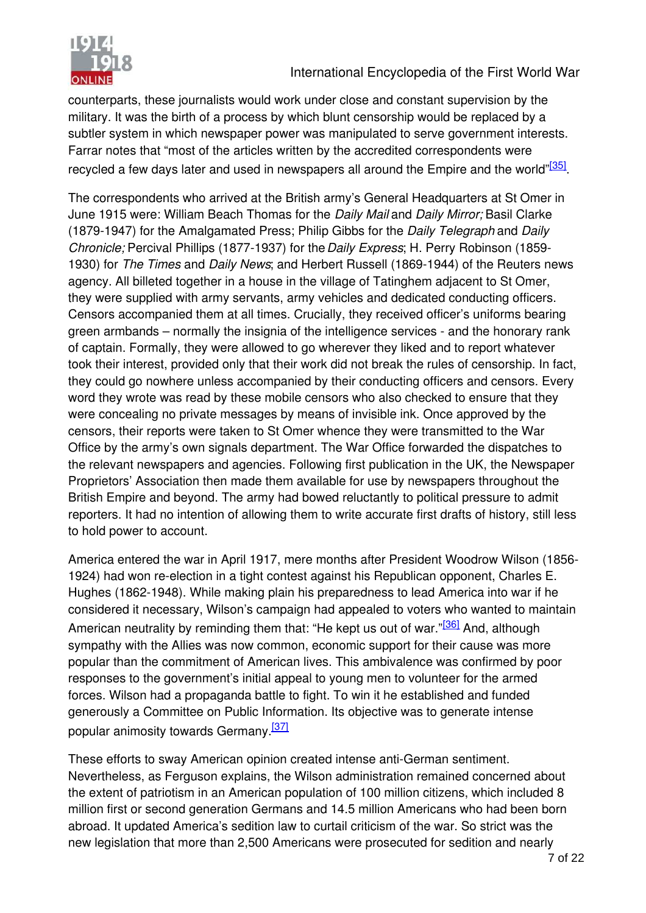

counterparts, these journalists would work under close and constant supervision by the military. It was the birth of a process by which blunt censorship would be replaced by a subtler system in which newspaper power was manipulated to serve government interests. Farrar notes that "most of the articles written by the accredited correspondents were recycled a few days later and used in newspapers all around the Empire and the world"<sup>[\[35\]](#page-7-0)</sup>.

The correspondents who arrived at the British army's General Headquarters at St Omer in June 1915 were: William Beach Thomas for the *Daily Mail* and *Daily Mirror;* Basil Clarke (1879-1947) for the Amalgamated Press; Philip Gibbs for the *Daily Telegraph* and *Daily Chronicle;* Percival Phillips (1877-1937) for the *Daily Express*; H. Perry Robinson (1859- 1930) for *The Times* and *Daily News*; and Herbert Russell (1869-1944) of the Reuters news agency. All billeted together in a house in the village of Tatinghem adjacent to St Omer, they were supplied with army servants, army vehicles and dedicated conducting officers. Censors accompanied them at all times. Crucially, they received officer's uniforms bearing green armbands – normally the insignia of the intelligence services - and the honorary rank of captain. Formally, they were allowed to go wherever they liked and to report whatever took their interest, provided only that their work did not break the rules of censorship. In fact, they could go nowhere unless accompanied by their conducting officers and censors. Every word they wrote was read by these mobile censors who also checked to ensure that they were concealing no private messages by means of invisible ink. Once approved by the censors, their reports were taken to St Omer whence they were transmitted to the War Office by the army's own signals department. The War Office forwarded the dispatches to the relevant newspapers and agencies. Following first publication in the UK, the Newspaper Proprietors' Association then made them available for use by newspapers throughout the British Empire and beyond. The army had bowed reluctantly to political pressure to admit reporters. It had no intention of allowing them to write accurate first drafts of history, still less to hold power to account.

America entered the war in April 1917, mere months after President Woodrow Wilson (1856- 1924) had won re-election in a tight contest against his Republican opponent, Charles E. Hughes (1862-1948). While making plain his preparedness to lead America into war if he considered it necessary, Wilson's campaign had appealed to voters who wanted to maintain American neutrality by reminding them that: "He kept us out of war."<sup>[\[36\]](#page-7-1)</sup> And, although sympathy with the Allies was now common, economic support for their cause was more popular than the commitment of American lives. This ambivalence was confirmed by poor responses to the government's initial appeal to young men to volunteer for the armed forces. Wilson had a propaganda battle to fight. To win it he established and funded generously a Committee on Public Information. Its objective was to generate intense popular animosity towards Germany.[\[37\]](#page-7-2)

<span id="page-7-2"></span><span id="page-7-1"></span><span id="page-7-0"></span>These efforts to sway American opinion created intense anti-German sentiment. Nevertheless, as Ferguson explains, the Wilson administration remained concerned about the extent of patriotism in an American population of 100 million citizens, which included 8 million first or second generation Germans and 14.5 million Americans who had been born abroad. It updated America's sedition law to curtail criticism of the war. So strict was the new legislation that more than 2,500 Americans were prosecuted for sedition and nearly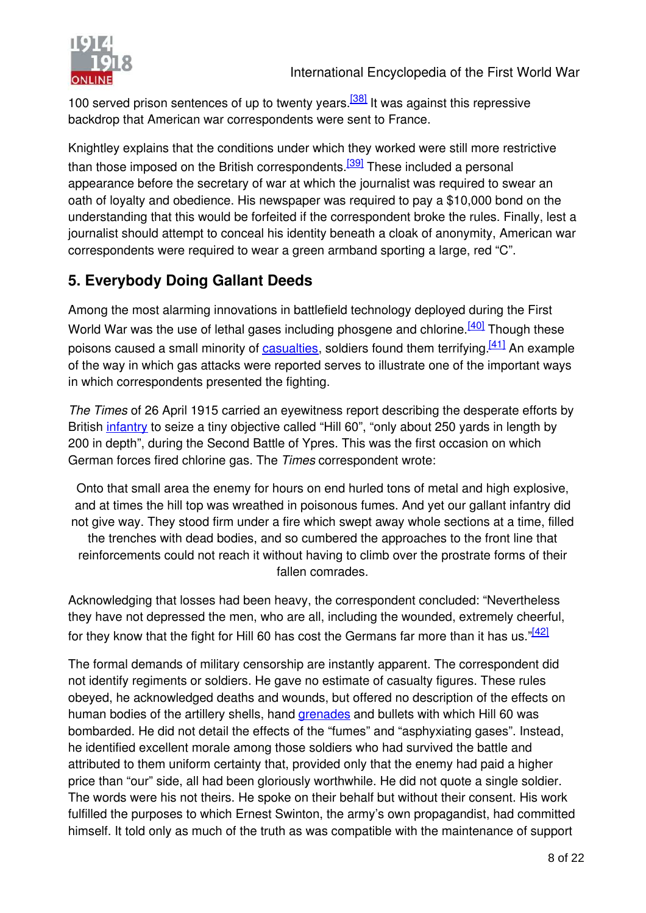

<span id="page-8-1"></span><span id="page-8-0"></span>100 served prison sentences of up to twenty years.<sup>[\[38\]](#page-8-0)</sup> It was against this repressive backdrop that American war correspondents were sent to France.

<span id="page-8-4"></span><span id="page-8-3"></span><span id="page-8-2"></span>Knightley explains that the conditions under which they worked were still more restrictive than those imposed on the British correspondents.<sup>[\[39\]](#page-8-1)</sup> These included a personal appearance before the secretary of war at which the journalist was required to swear an oath of loyalty and obedience. His newspaper was required to pay a \$10,000 bond on the understanding that this would be forfeited if the correspondent broke the rules. Finally, lest a journalist should attempt to conceal his identity beneath a cloak of anonymity, American war correspondents were required to wear a green armband sporting a large, red "C".

## **5. Everybody Doing Gallant Deeds**

Among the most alarming innovations in battlefield technology deployed during the First World War was the use of lethal gases including phosgene and chlorine.<sup>[\[40\]](#page-8-2)</sup> Though these poisons caused a small minority of [casualties](http://editorial.1914-1918-online.net/smw/index.php/War_Losses), soldiers found them terrifying.<sup>[\[41\]](#page-8-3)</sup> An example of the way in which gas attacks were reported serves to illustrate one of the important ways in which correspondents presented the fighting.

*The Times* of 26 April 1915 carried an eyewitness report describing the desperate efforts by British *infantry* to seize a tiny objective called "Hill 60", "only about 250 yards in length by 200 in depth", during the Second Battle of Ypres. This was the first occasion on which German forces fired chlorine gas. The *Times* correspondent wrote:

Onto that small area the enemy for hours on end hurled tons of metal and high explosive, and at times the hill top was wreathed in poisonous fumes. And yet our gallant infantry did not give way. They stood firm under a fire which swept away whole sections at a time, filled the trenches with dead bodies, and so cumbered the approaches to the front line that reinforcements could not reach it without having to climb over the prostrate forms of their fallen comrades.

Acknowledging that losses had been heavy, the correspondent concluded: "Nevertheless they have not depressed the men, who are all, including the wounded, extremely cheerful, for they know that the fight for Hill 60 has cost the Germans far more than it has us."[\[42\]](#page-8-4)

The formal demands of military censorship are instantly apparent. The correspondent did not identify regiments or soldiers. He gave no estimate of casualty figures. These rules obeyed, he acknowledged deaths and wounds, but offered no description of the effects on human bodies of the artillery shells, hand [grenades](http://editorial.1914-1918-online.net/smw/index.php/Grenade) and bullets with which Hill 60 was bombarded. He did not detail the effects of the "fumes" and "asphyxiating gases". Instead, he identified excellent morale among those soldiers who had survived the battle and attributed to them uniform certainty that, provided only that the enemy had paid a higher price than "our" side, all had been gloriously worthwhile. He did not quote a single soldier. The words were his not theirs. He spoke on their behalf but without their consent. His work fulfilled the purposes to which Ernest Swinton, the army's own propagandist, had committed himself. It told only as much of the truth as was compatible with the maintenance of support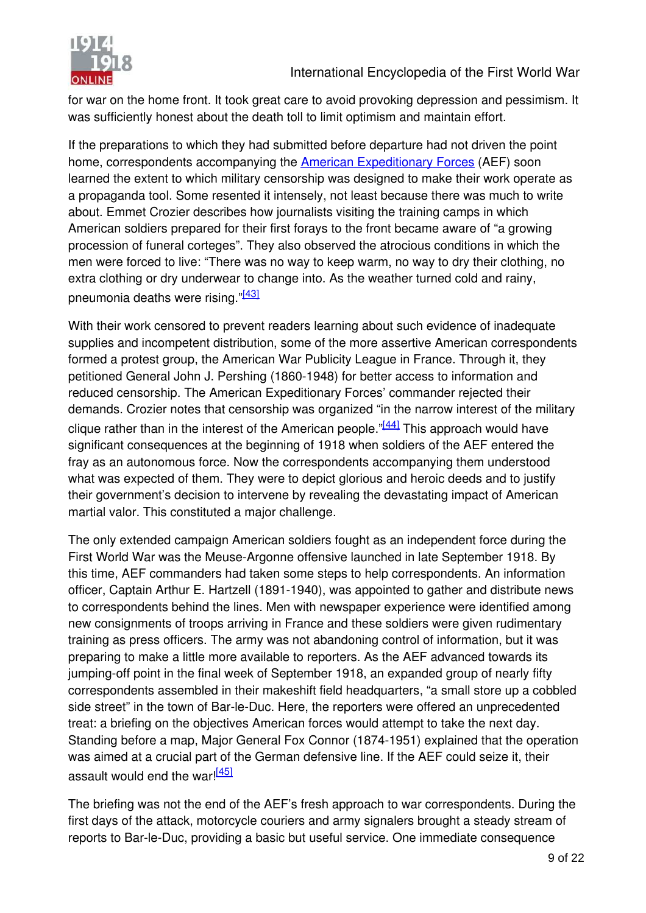

for war on the home front. It took great care to avoid provoking depression and pessimism. It was sufficiently honest about the death toll to limit optimism and maintain effort.

<span id="page-9-1"></span><span id="page-9-0"></span>If the preparations to which they had submitted before departure had not driven the point home, correspondents accompanying the [American Expeditionary Forces](http://editorial.1914-1918-online.net/smw/index.php/American_Expeditionary_Forces_(AEF)) (AEF) soon learned the extent to which military censorship was designed to make their work operate as a propaganda tool. Some resented it intensely, not least because there was much to write about. Emmet Crozier describes how journalists visiting the training camps in which American soldiers prepared for their first forays to the front became aware of "a growing procession of funeral corteges". They also observed the atrocious conditions in which the men were forced to live: "There was no way to keep warm, no way to dry their clothing, no extra clothing or dry underwear to change into. As the weather turned cold and rainy, pneumonia deaths were rising."<sup>[\[43\]](#page-9-0)</sup>

<span id="page-9-2"></span>With their work censored to prevent readers learning about such evidence of inadequate supplies and incompetent distribution, some of the more assertive American correspondents formed a protest group, the American War Publicity League in France. Through it, they petitioned General John J. Pershing (1860-1948) for better access to information and reduced censorship. The American Expeditionary Forces' commander rejected their demands. Crozier notes that censorship was organized "in the narrow interest of the military clique rather than in the interest of the American people.<sup>"[\[44\]](#page-9-1)</sup> This approach would have significant consequences at the beginning of 1918 when soldiers of the AEF entered the fray as an autonomous force. Now the correspondents accompanying them understood what was expected of them. They were to depict glorious and heroic deeds and to justify their government's decision to intervene by revealing the devastating impact of American martial valor. This constituted a major challenge.

The only extended campaign American soldiers fought as an independent force during the First World War was the Meuse-Argonne offensive launched in late September 1918. By this time, AEF commanders had taken some steps to help correspondents. An information officer, Captain Arthur E. Hartzell (1891-1940), was appointed to gather and distribute news to correspondents behind the lines. Men with newspaper experience were identified among new consignments of troops arriving in France and these soldiers were given rudimentary training as press officers. The army was not abandoning control of information, but it was preparing to make a little more available to reporters. As the AEF advanced towards its jumping-off point in the final week of September 1918, an expanded group of nearly fifty correspondents assembled in their makeshift field headquarters, "a small store up a cobbled side street" in the town of Bar-le-Duc. Here, the reporters were offered an unprecedented treat: a briefing on the objectives American forces would attempt to take the next day. Standing before a map, Major General Fox Connor (1874-1951) explained that the operation was aimed at a crucial part of the German defensive line. If the AEF could seize it, their assault would end the war! $\frac{[45]}{[46]}$  $\frac{[45]}{[46]}$  $\frac{[45]}{[46]}$ 

The briefing was not the end of the AEF's fresh approach to war correspondents. During the first days of the attack, motorcycle couriers and army signalers brought a steady stream of reports to Bar-le-Duc, providing a basic but useful service. One immediate consequence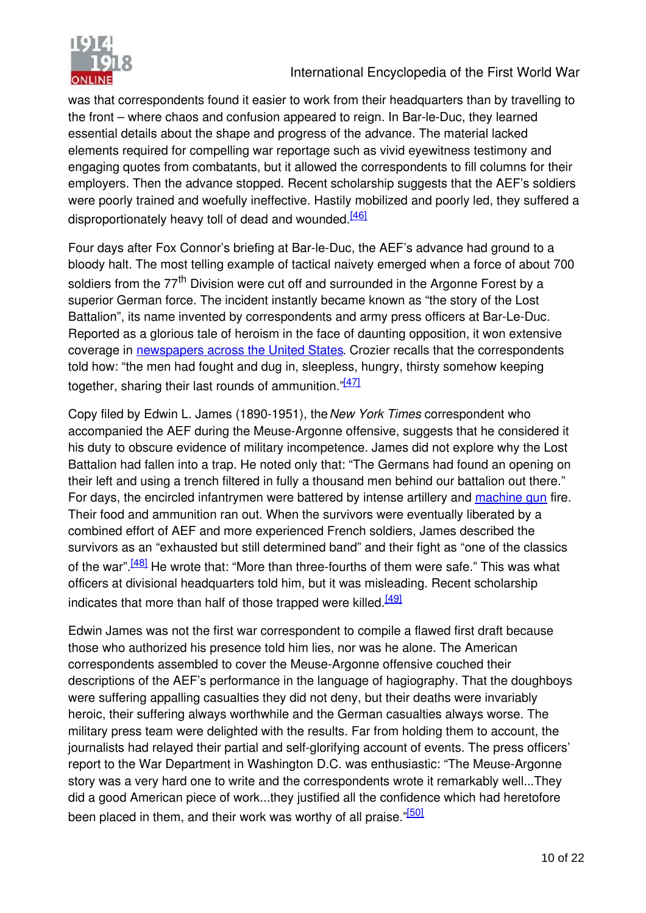

was that correspondents found it easier to work from their headquarters than by travelling to the front – where chaos and confusion appeared to reign. In Bar-le-Duc, they learned essential details about the shape and progress of the advance. The material lacked elements required for compelling war reportage such as vivid eyewitness testimony and engaging quotes from combatants, but it allowed the correspondents to fill columns for their employers. Then the advance stopped. Recent scholarship suggests that the AEF's soldiers were poorly trained and woefully ineffective. Hastily mobilized and poorly led, they suffered a disproportionately heavy toll of dead and wounded.<sup>[\[46\]](#page-10-0)</sup>

<span id="page-10-0"></span>Four days after Fox Connor's briefing at Bar-le-Duc, the AEF's advance had ground to a bloody halt. The most telling example of tactical naivety emerged when a force of about 700 soldiers from the 77<sup>th</sup> Division were cut off and surrounded in the Argonne Forest by a superior German force. The incident instantly became known as "the story of the Lost Battalion", its name invented by correspondents and army press officers at Bar-Le-Duc. Reported as a glorious tale of heroism in the face of daunting opposition, it won extensive coverage in [newspapers across the United States](http://editorial.1914-1918-online.net/smw/index.php/Press-Journalism_(USA)). Crozier recalls that the correspondents told how: "the men had fought and dug in, sleepless, hungry, thirsty somehow keeping together, sharing their last rounds of ammunition. $\sqrt[147]{47}$ 

<span id="page-10-4"></span><span id="page-10-3"></span><span id="page-10-2"></span><span id="page-10-1"></span>Copy filed by Edwin L. James (1890-1951), the *New York Times* correspondent who accompanied the AEF during the Meuse-Argonne offensive, suggests that he considered it his duty to obscure evidence of military incompetence. James did not explore why the Lost Battalion had fallen into a trap. He noted only that: "The Germans had found an opening on their left and using a trench filtered in fully a thousand men behind our battalion out there." For days, the encircled infantrymen were battered by intense artillery and [machine gun](http://editorial.1914-1918-online.net/smw/index.php/Machine_Gun) fire. Their food and ammunition ran out. When the survivors were eventually liberated by a combined effort of AEF and more experienced French soldiers, James described the survivors as an "exhausted but still determined band" and their fight as "one of the classics of the war".<sup>[\[48\]](#page-10-2)</sup> He wrote that: "More than three-fourths of them were safe." This was what officers at divisional headquarters told him, but it was misleading. Recent scholarship indicates that more than half of those trapped were killed.<sup>[\[49\]](#page-10-3)</sup>

Edwin James was not the first war correspondent to compile a flawed first draft because those who authorized his presence told him lies, nor was he alone. The American correspondents assembled to cover the Meuse-Argonne offensive couched their descriptions of the AEF's performance in the language of hagiography. That the doughboys were suffering appalling casualties they did not deny, but their deaths were invariably heroic, their suffering always worthwhile and the German casualties always worse. The military press team were delighted with the results. Far from holding them to account, the journalists had relayed their partial and self-glorifying account of events. The press officers' report to the War Department in Washington D.C. was enthusiastic: "The Meuse-Argonne story was a very hard one to write and the correspondents wrote it remarkably well...They did a good American piece of work...they justified all the confidence which had heretofore been placed in them, and their work was worthy of all praise."<sup>[\[50\]](#page-10-4)</sup>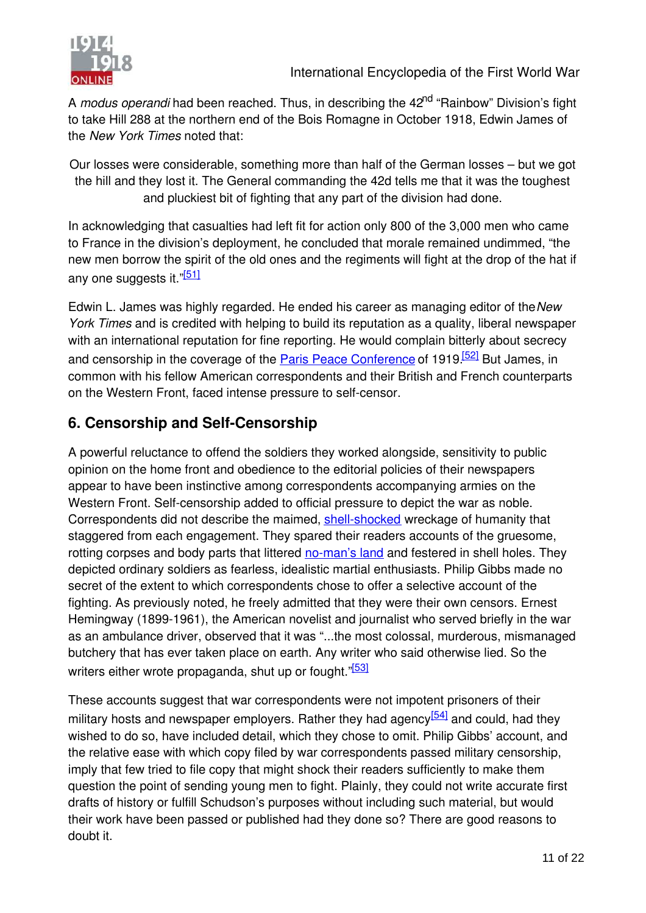

A *modus operandi* had been reached. Thus, in describing the 42<sup>nd</sup> "Rainbow" Division's fight to take Hill 288 at the northern end of the Bois Romagne in October 1918, Edwin James of the *New York Times* noted that:

Our losses were considerable, something more than half of the German losses – but we got the hill and they lost it. The General commanding the 42d tells me that it was the toughest and pluckiest bit of fighting that any part of the division had done.

In acknowledging that casualties had left fit for action only 800 of the 3,000 men who came to France in the division's deployment, he concluded that morale remained undimmed, "the new men borrow the spirit of the old ones and the regiments will fight at the drop of the hat if any one suggests it."<sup>[\[51\]](#page-11-0)</sup>

Edwin L. James was highly regarded. He ended his career as managing editor of the *New York Times* and is credited with helping to build its reputation as a quality, liberal newspaper with an international reputation for fine reporting. He would complain bitterly about secrecy and censorship in the coverage of the **Paris Peace Conference** of 1919.<sup>[\[52\]](#page-11-1)</sup> But James, in common with his fellow American correspondents and their British and French counterparts on the Western Front, faced intense pressure to self-censor.

#### <span id="page-11-0"></span>**6. Censorship and Self-Censorship**

<span id="page-11-3"></span><span id="page-11-2"></span><span id="page-11-1"></span>A powerful reluctance to offend the soldiers they worked alongside, sensitivity to public opinion on the home front and obedience to the editorial policies of their newspapers appear to have been instinctive among correspondents accompanying armies on the Western Front. Self-censorship added to official pressure to depict the war as noble. Correspondents did not describe the maimed, [shell-shocked](http://editorial.1914-1918-online.net/smw/index.php/Shell_shock_Trauma) wreckage of humanity that staggered from each engagement. They spared their readers accounts of the gruesome, rotting corpses and body parts that littered [no-man's land](http://editorial.1914-1918-online.net/smw/index.php/No_Mans_Land) and festered in shell holes. They depicted ordinary soldiers as fearless, idealistic martial enthusiasts. Philip Gibbs made no secret of the extent to which correspondents chose to offer a selective account of the fighting. As previously noted, he freely admitted that they were their own censors. Ernest Hemingway (1899-1961), the American novelist and journalist who served briefly in the war as an ambulance driver, observed that it was "...the most colossal, murderous, mismanaged butchery that has ever taken place on earth. Any writer who said otherwise lied. So the writers either wrote propaganda, shut up or fought."<sup>[\[53\]](#page-11-2)</sup>

These accounts suggest that war correspondents were not impotent prisoners of their military hosts and newspaper employers. Rather they had agency $[54]$  and could, had they wished to do so, have included detail, which they chose to omit. Philip Gibbs' account, and the relative ease with which copy filed by war correspondents passed military censorship, imply that few tried to file copy that might shock their readers sufficiently to make them question the point of sending young men to fight. Plainly, they could not write accurate first drafts of history or fulfill Schudson's purposes without including such material, but would their work have been passed or published had they done so? There are good reasons to doubt it.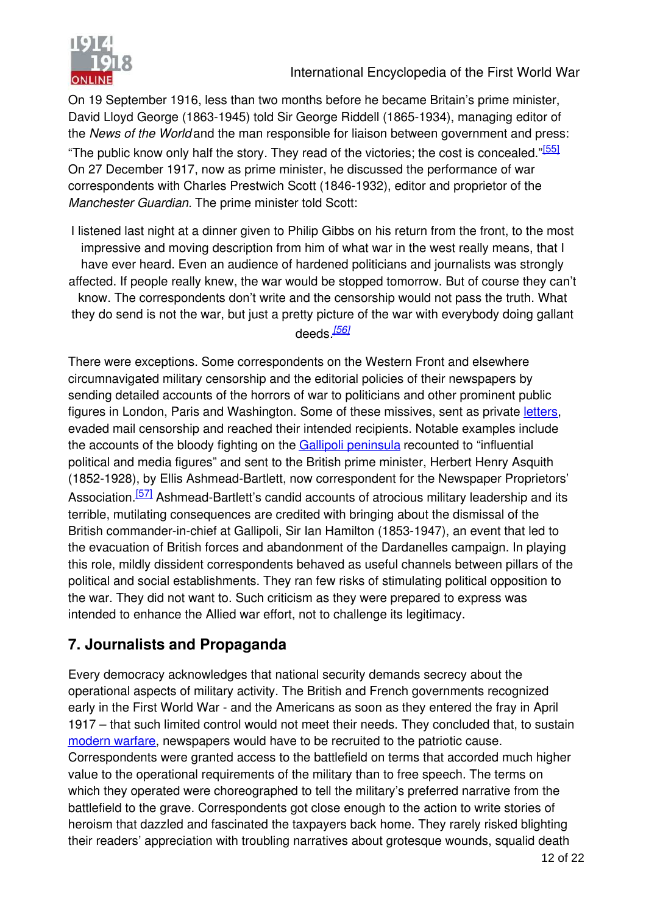



On 19 September 1916, less than two months before he became Britain's prime minister, David Lloyd George (1863-1945) told Sir George Riddell (1865-1934), managing editor of the *News of the World* and the man responsible for liaison between government and press: "The public know only half the story. They read of the victories; the cost is concealed."<sup>[\[55\]](#page-12-0)</sup> On 27 December 1917, now as prime minister, he discussed the performance of war correspondents with Charles Prestwich Scott (1846-1932), editor and proprietor of the *Manchester Guardian.* The prime minister told Scott:

I listened last night at a dinner given to Philip Gibbs on his return from the front, to the most impressive and moving description from him of what war in the west really means, that I have ever heard. Even an audience of hardened politicians and journalists was strongly affected. If people really knew, the war would be stopped tomorrow. But of course they can't know. The correspondents don't write and the censorship would not pass the truth. What they do send is not the war, but just a pretty picture of the war with everybody doing gallant deeds*. [\[56\]](#page-12-1)*

There were exceptions. Some correspondents on the Western Front and elsewhere circumnavigated military censorship and the editorial policies of their newspapers by sending detailed accounts of the horrors of war to politicians and other prominent public figures in London, Paris and Washington. Some of these missives, sent as private [letters](http://editorial.1914-1918-online.net/smw/index.php/War_Letters_Communication_between_Front_and_Home_Front), evaded mail censorship and reached their intended recipients. Notable examples include the accounts of the bloody fighting on the [Gallipoli peninsula](http://editorial.1914-1918-online.net/smw/index.php/Campaign_and_Battle_of_Gallipoli) recounted to "influential political and media figures" and sent to the British prime minister, Herbert Henry Asquith (1852-1928), by Ellis Ashmead-Bartlett, now correspondent for the Newspaper Proprietors' Association.<sup>[\[57\]](#page-12-2)</sup> Ashmead-Bartlett's candid accounts of atrocious military leadership and its terrible, mutilating consequences are credited with bringing about the dismissal of the British commander-in-chief at Gallipoli, Sir Ian Hamilton (1853-1947), an event that led to the evacuation of British forces and abandonment of the Dardanelles campaign. In playing this role, mildly dissident correspondents behaved as useful channels between pillars of the political and social establishments. They ran few risks of stimulating political opposition to the war. They did not want to. Such criticism as they were prepared to express was intended to enhance the Allied war effort, not to challenge its legitimacy.

#### <span id="page-12-2"></span><span id="page-12-1"></span><span id="page-12-0"></span>**7. Journalists and Propaganda**

Every democracy acknowledges that national security demands secrecy about the operational aspects of military activity. The British and French governments recognized early in the First World War - and the Americans as soon as they entered the fray in April 1917 – that such limited control would not meet their needs. They concluded that, to sustain [modern warfare](http://editorial.1914-1918-online.net/smw/index.php/On_the_Road_to_Modern_War), newspapers would have to be recruited to the patriotic cause. Correspondents were granted access to the battlefield on terms that accorded much higher value to the operational requirements of the military than to free speech. The terms on which they operated were choreographed to tell the military's preferred narrative from the battlefield to the grave. Correspondents got close enough to the action to write stories of heroism that dazzled and fascinated the taxpayers back home. They rarely risked blighting their readers' appreciation with troubling narratives about grotesque wounds, squalid death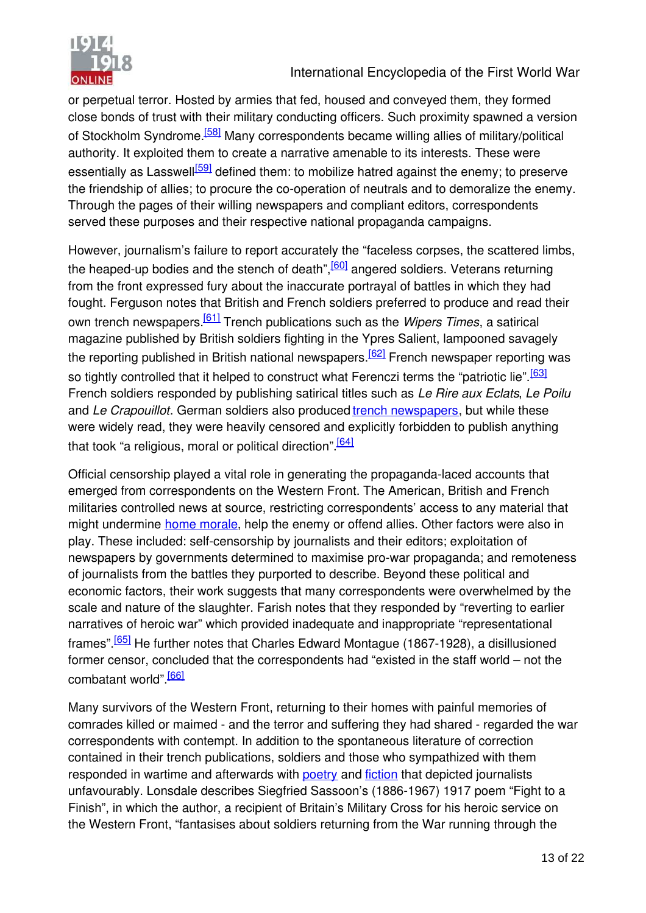

or perpetual terror. Hosted by armies that fed, housed and conveyed them, they formed close bonds of trust with their military conducting officers. Such proximity spawned a version of Stockholm Syndrome.<sup>[\[58\]](#page-13-0)</sup> Many correspondents became willing allies of military/political authority. It exploited them to create a narrative amenable to its interests. These were essentially as Lasswell<sup>[\[59\]](#page-13-1)</sup> defined them: to mobilize hatred against the enemy; to preserve the friendship of allies; to procure the co-operation of neutrals and to demoralize the enemy. Through the pages of their willing newspapers and compliant editors, correspondents served these purposes and their respective national propaganda campaigns.

However, journalism's failure to report accurately the "faceless corpses, the scattered limbs, the heaped-up bodies and the stench of death", <sup>[\[60\]](#page-13-2)</sup> angered soldiers. Veterans returning from the front expressed fury about the inaccurate portrayal of battles in which they had fought. Ferguson notes that British and French soldiers preferred to produce and read their own trench newspapers.[\[61\]](#page-13-3) Trench publications such as the *Wipers Times*, a satirical magazine published by British soldiers fighting in the Ypres Salient, lampooned savagely the reporting published in British national newspapers.<sup>[\[62\]](#page-13-4)</sup> French newspaper reporting was so tightly controlled that it helped to construct what Ferenczi terms the "patriotic lie".<sup>[\[63\]](#page-13-5)</sup> French soldiers responded by publishing satirical titles such as *Le Rire aux Eclats*, *Le Poilu* and *Le Crapouillot*. German soldiers also produced [trench newspapers](http://editorial.1914-1918-online.net/smw/index.php/Soldier_Newspapers), but while these were widely read, they were heavily censored and explicitly forbidden to publish anything that took "a religious, moral or political direction".<sup>[\[64\]](#page-13-6)</sup>

Official censorship played a vital role in generating the propaganda-laced accounts that emerged from correspondents on the Western Front. The American, British and French militaries controlled news at source, restricting correspondents' access to any material that might undermine [home morale](http://editorial.1914-1918-online.net/smw/index.php/Civilian_Morale), help the enemy or offend allies. Other factors were also in play. These included: self-censorship by journalists and their editors; exploitation of newspapers by governments determined to maximise pro-war propaganda; and remoteness of journalists from the battles they purported to describe. Beyond these political and economic factors, their work suggests that many correspondents were overwhelmed by the scale and nature of the slaughter. Farish notes that they responded by "reverting to earlier narratives of heroic war" which provided inadequate and inappropriate "representational frames".[\[65\]](#page-13-7) He further notes that Charles Edward Montague (1867-1928), a disillusioned former censor, concluded that the correspondents had "existed in the staff world – not the combatant world".<sup>[\[66\]](#page-13-8)</sup>

<span id="page-13-8"></span><span id="page-13-7"></span><span id="page-13-6"></span><span id="page-13-5"></span><span id="page-13-4"></span><span id="page-13-3"></span><span id="page-13-2"></span><span id="page-13-1"></span><span id="page-13-0"></span>Many survivors of the Western Front, returning to their homes with painful memories of comrades killed or maimed - and the terror and suffering they had shared - regarded the war correspondents with contempt. In addition to the spontaneous literature of correction contained in their trench publications, soldiers and those who sympathized with them responded in wartime and afterwards with [poetry](http://editorial.1914-1918-online.net/smw/index.php/War_Poetry) and [fiction](http://editorial.1914-1918-online.net/smw/index.php/Literature) that depicted journalists unfavourably. Lonsdale describes Siegfried Sassoon's (1886-1967) 1917 poem "Fight to a Finish", in which the author, a recipient of Britain's Military Cross for his heroic service on the Western Front, "fantasises about soldiers returning from the War running through the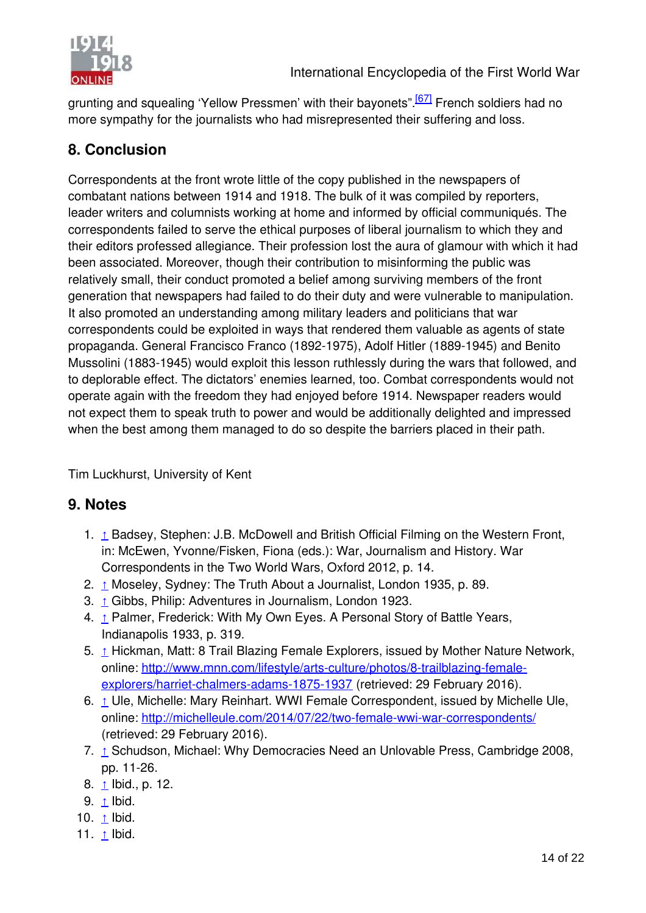

<span id="page-14-0"></span>grunting and squealing 'Yellow Pressmen' with their bayonets".<sup>[\[67\]](#page-14-0)</sup> French soldiers had no more sympathy for the journalists who had misrepresented their suffering and loss.

## <span id="page-14-7"></span>**8. Conclusion**

<span id="page-14-11"></span><span id="page-14-10"></span><span id="page-14-9"></span><span id="page-14-8"></span>Correspondents at the front wrote little of the copy published in the newspapers of combatant nations between 1914 and 1918. The bulk of it was compiled by reporters, leader writers and columnists working at home and informed by official communiqués. The correspondents failed to serve the ethical purposes of liberal journalism to which they and their editors professed allegiance. Their profession lost the aura of glamour with which it had been associated. Moreover, though their contribution to misinforming the public was relatively small, their conduct promoted a belief among surviving members of the front generation that newspapers had failed to do their duty and were vulnerable to manipulation. It also promoted an understanding among military leaders and politicians that war correspondents could be exploited in ways that rendered them valuable as agents of state propaganda. General Francisco Franco (1892-1975), Adolf Hitler (1889-1945) and Benito Mussolini (1883-1945) would exploit this lesson ruthlessly during the wars that followed, and to deplorable effect. The dictators' enemies learned, too. Combat correspondents would not operate again with the freedom they had enjoyed before 1914. Newspaper readers would not expect them to speak truth to power and would be additionally delighted and impressed when the best among them managed to do so despite the barriers placed in their path.

<span id="page-14-2"></span>Tim Luckhurst, University of Kent

#### **9. Notes**

- <span id="page-14-3"></span>1. [↑](#page-14-1) Badsey, Stephen: J.B. McDowell and British Official Filming on the Western Front, in: McEwen, Yvonne/Fisken, Fiona (eds.): War, Journalism and History. War Correspondents in the Two World Wars, Oxford 2012, p. 14.
- <span id="page-14-4"></span>2.  $\pm$  Moseley, Sydney: The Truth About a Journalist, London 1935, p. 89.
- 3. [↑](#page-14-3) Gibbs, Philip: Adventures in Journalism, London 1923.
- 4. [↑](#page-14-4) Palmer, Frederick: With My Own Eyes. A Personal Story of Battle Years, Indianapolis 1933, p. 319.
- 5. [↑](#page-14-5) Hickman, Matt: 8 Trail Blazing Female Explorers, issued by Mother Nature Network, [online: http://www.mnn.com/lifestyle/arts-culture/photos/8-trailblazing-female](http://www.mnn.com/lifestyle/arts-culture/photos/8-trailblazing-female-explorers/harriet-chalmers-adams-1875-1937)explorers/harriet-chalmers-adams-1875-1937 (retrieved: 29 February 2016).
- 6. [↑](#page-14-6) Ule, Michelle: Mary Reinhart. WWI Female Correspondent, issued by Michelle Ule, online:<http://michelleule.com/2014/07/22/two-female-wwi-war-correspondents/> (retrieved: 29 February 2016).
- <span id="page-14-6"></span><span id="page-14-5"></span>7.  $\uparrow$  Schudson, Michael: Why Democracies Need an Unlovable Press, Cambridge 2008, pp. 11-26.
- 8. <u>[↑](#page-14-8)</u> Ibid., p. 12.
- <span id="page-14-1"></span>9. [↑](#page-14-9) Ibid.
- 10.  $\triangle$  Ibid.
- 11.  $\uparrow$  Ibid.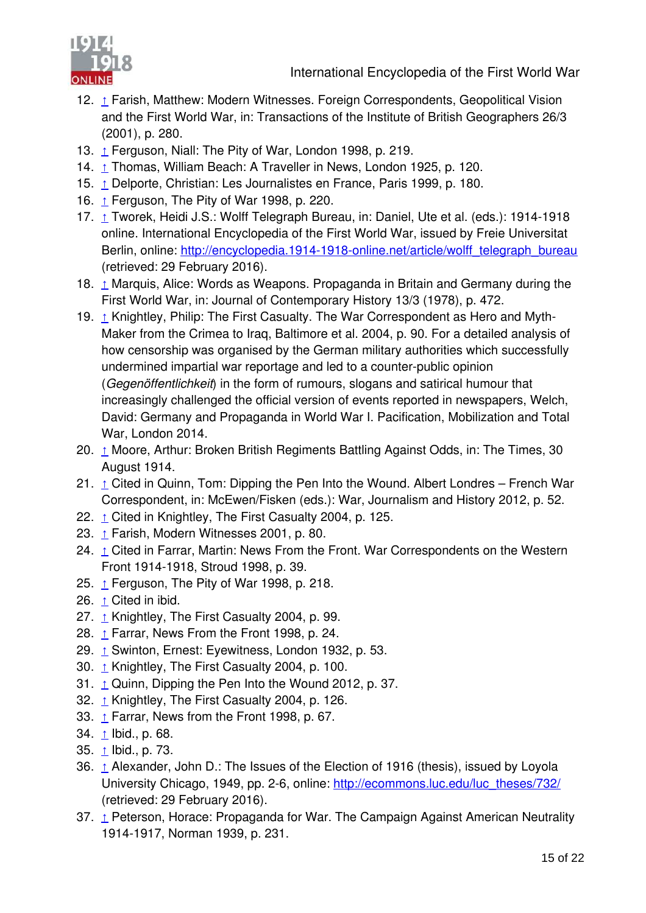

- <span id="page-15-18"></span>12. [↑](#page-15-0) Farish, Matthew: Modern Witnesses. Foreign Correspondents, Geopolitical Vision and the First World War, in: Transactions of the Institute of British Geographers 26/3 (2001), p. 280.
- <span id="page-15-11"></span>13. [↑](#page-15-1) Ferguson, Niall: The Pity of War, London 1998, p. 219.
- <span id="page-15-23"></span><span id="page-15-19"></span>14. [↑](#page-15-2) Thomas, William Beach: A Traveller in News, London 1925, p. 120.
- 15. [↑](#page-15-3) Delporte, Christian: Les Journalistes en France, Paris 1999, p. 180.
- 16. [↑](#page-15-4) Ferguson, The Pity of War 1998, p. 220.
- <span id="page-15-12"></span>17. [↑](#page-15-5) Tworek, Heidi J.S.: Wolff Telegraph Bureau, in: Daniel, Ute et al. (eds.): 1914-1918 online. International Encyclopedia of the First World War, issued by Freie Universitat Berlin, online: [http://encyclopedia.1914-1918-online.net/article/wolff\\_telegraph\\_bureau](http://encyclopedia.1914-1918-online.net/article/wolff_telegraph_bureau) (retrieved: 29 February 2016).
- <span id="page-15-13"></span><span id="page-15-8"></span>18. [↑](#page-15-6) Marquis, Alice: Words as Weapons. Propaganda in Britain and Germany during the First World War, in: Journal of Contemporary History 13/3 (1978), p. 472.
- <span id="page-15-20"></span>19. [↑](#page-15-7) Knightley, Philip: The First Casualty. The War Correspondent as Hero and Myth-Maker from the Crimea to Iraq, Baltimore et al. 2004, p. 90. For a detailed analysis of how censorship was organised by the German military authorities which successfully undermined impartial war reportage and led to a counter-public opinion (*Gegenöffentlichkeit*) in the form of rumours, slogans and satirical humour that increasingly challenged the official version of events reported in newspapers, Welch, David: Germany and Propaganda in World War I. Pacification, Mobilization and Total War, London 2014.
- <span id="page-15-14"></span><span id="page-15-9"></span><span id="page-15-1"></span><span id="page-15-0"></span>20. [↑](#page-15-8) Moore, Arthur: Broken British Regiments Battling Against Odds, in: The Times, 30 August 1914.
- 21.  $\triangle$  Cited in Quinn, Tom: Dipping the Pen Into the Wound. Albert Londres French War Correspondent, in: McEwen/Fisken (eds.): War, Journalism and History 2012, p. 52.
- 22. [↑](#page-15-10) Cited in Knightley, The First Casualty 2004, p. 125.
- <span id="page-15-15"></span>23. [↑](#page-15-11) Farish, Modern Witnesses 2001, p. 80.
- <span id="page-15-2"></span>24. [↑](#page-15-12) Cited in Farrar, Martin: News From the Front. War Correspondents on the Western Front 1914-1918, Stroud 1998, p. 39.
- 25.  $\triangle$  Ferguson, The Pity of War 1998, p. 218.
- 26. [↑](#page-15-14) Cited in ibid.
- <span id="page-15-24"></span><span id="page-15-3"></span>27.  $\triangle$  Knightley, The First Casualty 2004, p. 99.
- <span id="page-15-16"></span>28.  $\triangle$  Farrar, News From the Front 1998, p. 24.
- 29. [↑](#page-15-17) Swinton, Ernest: Eyewitness, London 1932, p. 53.
- <span id="page-15-10"></span><span id="page-15-4"></span>30. [↑](#page-15-18) Knightley, The First Casualty 2004, p. 100.
- 31. [↑](#page-15-19) Quinn, Dipping the Pen Into the Wound 2012, p. 37.
- 32.  $\triangle$  Knightley, The First Casualty 2004, p. 126.
- 33.  $\triangle$  Farrar, News from the Front 1998, p. 67.
- <span id="page-15-25"></span><span id="page-15-5"></span>34.  $\uparrow$  Ibid., p. 68.
- 35. <u>[↑](#page-15-23)</u> Ibid., p. 73.
- <span id="page-15-21"></span><span id="page-15-17"></span><span id="page-15-6"></span>36. [↑](#page-15-24) Alexander, John D.: The Issues of the Election of 1916 (thesis), issued by Loyola University Chicago, 1949, pp. 2-6, online: [http://ecommons.luc.edu/luc\\_theses/732/](http://ecommons.luc.edu/luc_theses/732/) (retrieved: 29 February 2016).
- <span id="page-15-22"></span><span id="page-15-7"></span>37. [↑](#page-15-25) Peterson, Horace: Propaganda for War. The Campaign Against American Neutrality 1914-1917, Norman 1939, p. 231.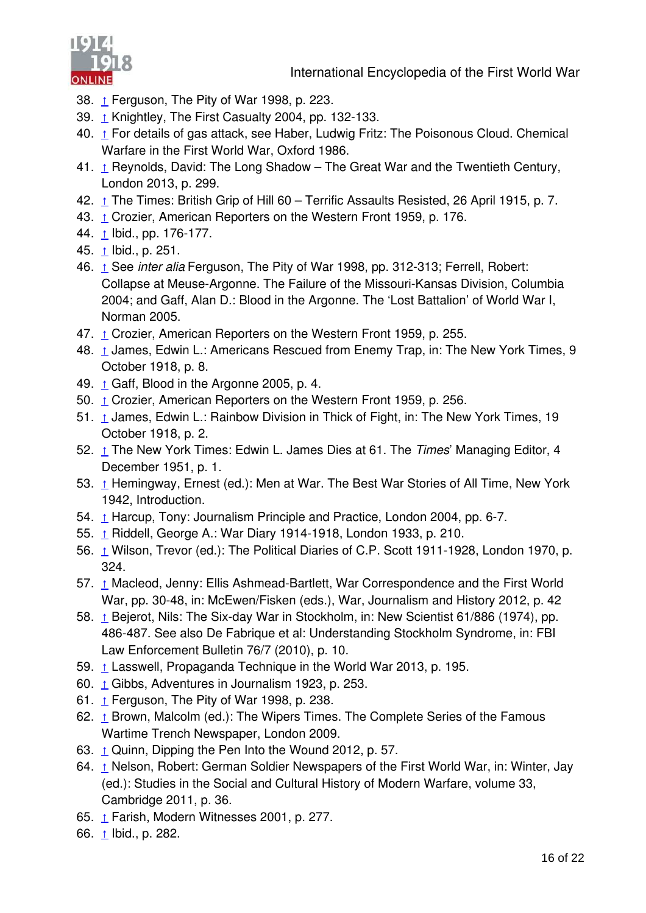<span id="page-16-25"></span><span id="page-16-22"></span><span id="page-16-20"></span><span id="page-16-17"></span><span id="page-16-14"></span><span id="page-16-8"></span><span id="page-16-3"></span><span id="page-16-2"></span><span id="page-16-1"></span><span id="page-16-0"></span>



- 38. [↑](#page-16-0) Ferguson, The Pity of War 1998, p. 223.
- 39. [↑](#page-16-1) Knightley, The First Casualty 2004, pp. 132-133.
- 40. [↑](#page-16-2) For details of gas attack, see Haber, Ludwig Fritz: The Poisonous Cloud. Chemical Warfare in the First World War, Oxford 1986.
- <span id="page-16-21"></span>41.  $\triangle$  Reynolds, David: The Long Shadow – The Great War and the Twentieth Century, London 2013, p. 299.
- 42. [↑](#page-16-4) The Times: British Grip of Hill 60 Terrific Assaults Resisted, 26 April 1915, p. 7.
- 43. [↑](#page-16-5) Crozier, American Reporters on the Western Front 1959, p. 176.
- 44. [↑](#page-16-6) Ibid., pp. 176-177.
- 45. <u>[↑](#page-16-7)</u> Ibid., p. 251.
- <span id="page-16-13"></span><span id="page-16-5"></span>46. [↑](#page-16-8) See *inter alia* Ferguson, The Pity of War 1998, pp. 312-313; Ferrell, Robert: Collapse at Meuse-Argonne. The Failure of the Missouri-Kansas Division, Columbia 2004; and Gaff, Alan D.: Blood in the Argonne. The 'Lost Battalion' of World War I, Norman 2005.
- <span id="page-16-23"></span><span id="page-16-18"></span>47. [↑](#page-16-9) Crozier, American Reporters on the Western Front 1959, p. 255.
- <span id="page-16-24"></span>48. 1 James, Edwin L.: Americans Rescued from Enemy Trap, in: The New York Times, 9 October 1918, p. 8.
- 49.  $\triangle$  Gaff, Blood in the Argonne 2005, p. 4.
- <span id="page-16-9"></span>50. [↑](#page-16-12) Crozier, American Reporters on the Western Front 1959, p. 256.
- <span id="page-16-6"></span>51. [↑](#page-16-13) James, Edwin L.: Rainbow Division in Thick of Fight, in: The New York Times, 19 October 1918, p. 2.
- <span id="page-16-26"></span>52. [↑](#page-16-14) The New York Times: Edwin L. James Dies at 61. The *Times*' Managing Editor, 4 December 1951, p. 1.
- <span id="page-16-19"></span>53. [↑](#page-16-15) Hemingway, Ernest (ed.): Men at War. The Best War Stories of All Time, New York 1942, Introduction.
- 54. [↑](#page-16-16) Harcup, Tony: Journalism Principle and Practice, London 2004, pp. 6-7.
- 55. [↑](#page-16-17) Riddell, George A.: War Diary 1914-1918, London 1933, p. 210.
- <span id="page-16-10"></span>56. [↑](#page-16-18) Wilson, Trevor (ed.): The Political Diaries of C.P. Scott 1911-1928, London 1970, p. 324.
- <span id="page-16-11"></span>57. [↑](#page-16-19) Macleod, Jenny: Ellis Ashmead-Bartlett, War Correspondence and the First World War, pp. 30-48, in: McEwen/Fisken (eds.), War, Journalism and History 2012, p. 42
- <span id="page-16-27"></span><span id="page-16-4"></span>58. [↑](#page-16-20) Bejerot, Nils: The Six-day War in Stockholm, in: New Scientist 61/886 (1974), pp. 486-487. See also De Fabrique et al: Understanding Stockholm Syndrome, in: FBI Law Enforcement Bulletin 76/7 (2010), p. 10.
- 59. [↑](#page-16-21) Lasswell, Propaganda Technique in the World War 2013, p. 195.
- <span id="page-16-28"></span><span id="page-16-15"></span>60. [↑](#page-16-22) Gibbs, Adventures in Journalism 1923, p. 253.
- 61.  $\triangle$  Ferguson, The Pity of War 1998, p. 238.
- <span id="page-16-16"></span>62. [↑](#page-16-24) Brown, Malcolm (ed.): The Wipers Times. The Complete Series of the Famous Wartime Trench Newspaper, London 2009.
- 63.  $\triangle$  Quinn, Dipping the Pen Into the Wound 2012, p. 57.
- <span id="page-16-7"></span>64. [↑](#page-16-26) Nelson, Robert: German Soldier Newspapers of the First World War, in: Winter, Jay (ed.): Studies in the Social and Cultural History of Modern Warfare, volume 33, Cambridge 2011, p. 36.
- <span id="page-16-12"></span>65. [↑](#page-16-27) Farish, Modern Witnesses 2001, p. 277.
- 66. <u>[↑](#page-16-28)</u> Ibid., p. 282.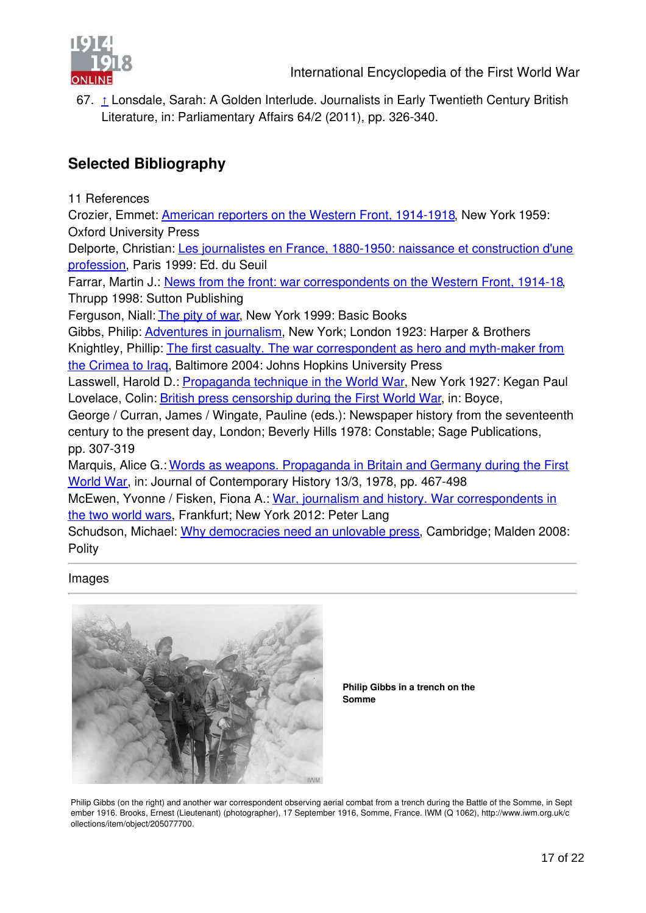

<span id="page-17-0"></span>67. [↑](#page-17-0) Lonsdale, Sarah: A Golden Interlude. Journalists in Early Twentieth Century British Literature, in: Parliamentary Affairs 64/2 (2011), pp. 326-340.

#### **Selected Bibliography**

11 References

Crozier, Emmet: [American reporters on the Western Front, 1914-1918](http://editorial.1914-1918-online.net/smw/index.php/Bib:HTETB3FF), New York 1959: Oxford University Press

[Delporte, Christian: Les journalistes en France, 1880-1950: naissance et construction d'une](http://editorial.1914-1918-online.net/smw/index.php/Bib:UDACNVS8) profession, Paris 1999: Éd. du Seuil

Farrar, Martin J.: [News from the front: war correspondents on the Western Front, 1914-18](http://editorial.1914-1918-online.net/smw/index.php/Bib:3ED52KW3), Thrupp 1998: Sutton Publishing

Ferguson, Niall: [The pity of war](http://editorial.1914-1918-online.net/smw/index.php/Bib:PT2I42A3), New York 1999: Basic Books

Gibbs, Philip: [Adventures in journalism](http://editorial.1914-1918-online.net/smw/index.php/Bib:2A3N4JSB), New York; London 1923: Harper & Brothers [Knightley, Phillip: The first casualty. The war correspondent as hero and myth-maker from](http://editorial.1914-1918-online.net/smw/index.php/Bib:JSJKJKGV) the Crimea to Iraq, Baltimore 2004: Johns Hopkins University Press

Lasswell, Harold D.: [Propaganda technique in the World War](http://editorial.1914-1918-online.net/smw/index.php/Bib:E752N4MB), New York 1927: Kegan Paul Lovelace, Colin: [British press censorship during the First World War](http://editorial.1914-1918-online.net/smw/index.php/Bib:3ZD4XAFX), in: Boyce,

George / Curran, James / Wingate, Pauline (eds.): Newspaper history from the seventeenth century to the present day, London; Beverly Hills 1978: Constable; Sage Publications, pp. 307-319

[Marquis, Alice G.: Words as weapons. Propaganda in Britain and Germany during the First](http://editorial.1914-1918-online.net/smw/index.php/Bib:RDUMIWRR) World War, in: Journal of Contemporary History 13/3, 1978, pp. 467-498

[McEwen, Yvonne / Fisken, Fiona A.: War, journalism and history. War correspondents in](http://editorial.1914-1918-online.net/smw/index.php/Bib:R97XGIPT) the two world wars, Frankfurt; New York 2012: Peter Lang

Schudson, Michael: [Why democracies need an unlovable press](http://editorial.1914-1918-online.net/smw/index.php/Bib:9AUQM5K7), Cambridge; Malden 2008: **Polity** 

#### Images



**Philip Gibbs in a trench on the Somme**

Philip Gibbs (on the right) and another war correspondent observing aerial combat from a trench during the Battle of the Somme, in Sept ember 1916. Brooks, Ernest (Lieutenant) (photographer), 17 September 1916, Somme, France. IWM (Q 1062), http://www.iwm.org.uk/c ollections/item/object/205077700.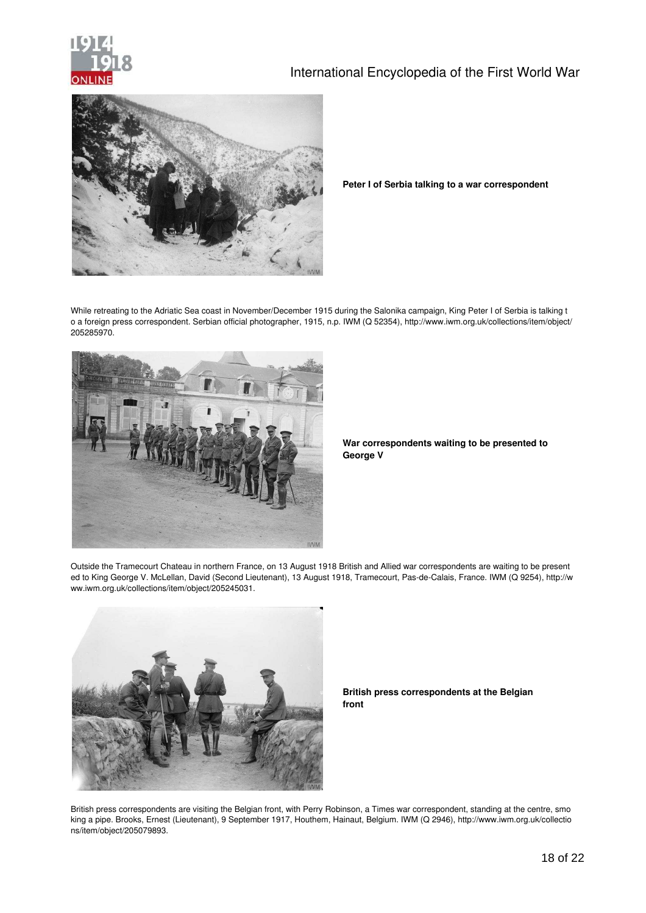

#### International Encyclopedia of the First World War



**Peter I of Serbia talking to a war correspondent**

While retreating to the Adriatic Sea coast in November/December 1915 during the Salonika campaign, King Peter I of Serbia is talking t o a foreign press correspondent. Serbian official photographer, 1915, n.p. IWM (Q 52354), http://www.iwm.org.uk/collections/item/object/ 205285970.



**War correspondents waiting to be presented to George V**

Outside the Tramecourt Chateau in northern France, on 13 August 1918 British and Allied war correspondents are waiting to be present ed to King George V. McLellan, David (Second Lieutenant), 13 August 1918, Tramecourt, Pas-de-Calais, France. IWM (Q 9254), http://w ww.iwm.org.uk/collections/item/object/205245031.



**British press correspondents at the Belgian front**

British press correspondents are visiting the Belgian front, with Perry Robinson, a Times war correspondent, standing at the centre, smo king a pipe. Brooks, Ernest (Lieutenant), 9 September 1917, Houthem, Hainaut, Belgium. IWM (Q 2946), http://www.iwm.org.uk/collectio ns/item/object/205079893.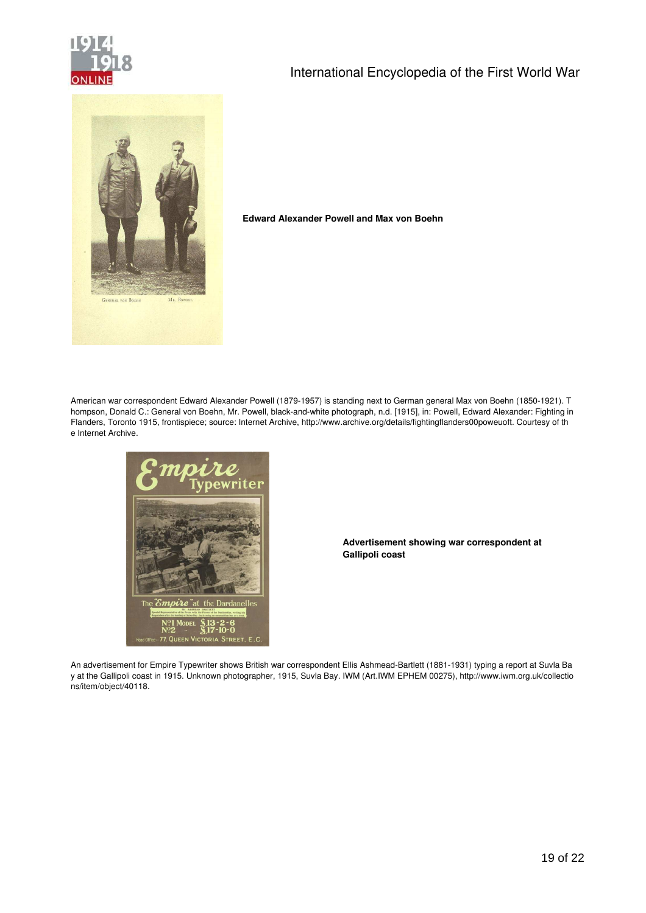

#### International Encyclopedia of the First World War



#### **Edward Alexander Powell and Max von Boehn**

American war correspondent Edward Alexander Powell (1879-1957) is standing next to German general Max von Boehn (1850-1921). T hompson, Donald C.: General von Boehn, Mr. Powell, black-and-white photograph, n.d. [1915], in: Powell, Edward Alexander: Fighting in Flanders, Toronto 1915, frontispiece; source: Internet Archive, http://www.archive.org/details/fightingflanders00poweuoft. Courtesy of th e Internet Archive.



**Advertisement showing war correspondent at Gallipoli coast**

An advertisement for Empire Typewriter shows British war correspondent Ellis Ashmead-Bartlett (1881-1931) typing a report at Suvla Ba y at the Gallipoli coast in 1915. Unknown photographer, 1915, Suvla Bay. IWM (Art.IWM EPHEM 00275), http://www.iwm.org.uk/collectio ns/item/object/40118.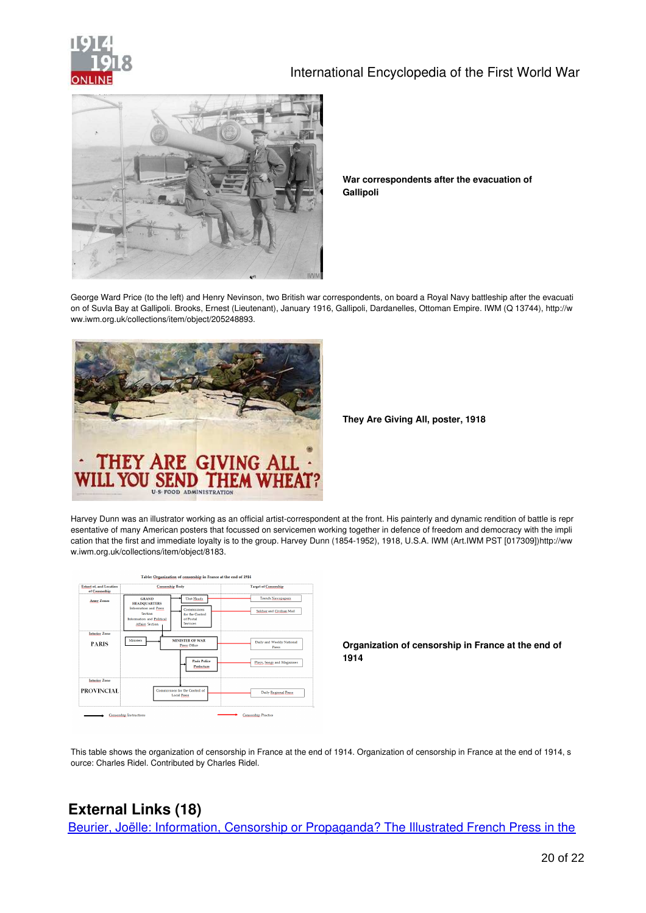



**War correspondents after the evacuation of Gallipoli**

George Ward Price (to the left) and Henry Nevinson, two British war correspondents, on board a Royal Navy battleship after the evacuati on of Suvla Bay at Gallipoli. Brooks, Ernest (Lieutenant), January 1916, Gallipoli, Dardanelles, Ottoman Empire. IWM (Q 13744), http://w ww.iwm.org.uk/collections/item/object/205248893.



**They Are Giving All, poster, 1918**

Harvey Dunn was an illustrator working as an official artist-correspondent at the front. His painterly and dynamic rendition of battle is repr esentative of many American posters that focussed on servicemen working together in defence of freedom and democracy with the impli cation that the first and immediate loyalty is to the group. Harvey Dunn (1854-1952), 1918, U.S.A. IWM (Art.IWM PST [017309])http://ww w.iwm.org.uk/collections/item/object/8183.

| Extent of, and Location<br>of Censorship | <b>Censorship Body</b>                                                                                                                                                                                  | <b>Target of Censorship</b>                                      |
|------------------------------------------|---------------------------------------------------------------------------------------------------------------------------------------------------------------------------------------------------------|------------------------------------------------------------------|
| <b>Army Zones</b>                        | Unit Heads<br><b>GRAND</b><br><b>HEADQUARTERS</b><br>Information and Press<br>Commissions<br>Section<br>for the Control<br><b>Information and Political</b><br>of Postal<br>Services<br>Affairs Section | <b>Trench Newspapers</b><br>Soldier and Civilian Mail            |
| <b>Interior Zone</b><br><b>PARIS</b>     | Ministers<br><b>MINISTER OF WAR</b><br>Press Office<br><b>Paris Police</b><br><b>Prefecture</b>                                                                                                         | Daily and Weekly National<br>Press<br>Plays, Songs and Magazines |
| <b>Interior Zone</b><br>PROVINCIAL       | Commissions for the Control of<br><b>Local Press</b>                                                                                                                                                    | Daily Regional Press                                             |

**Organization of censorship in France at the end of 1914**

This table shows the organization of censorship in France at the end of 1914. Organization of censorship in France at the end of 1914, s ource: Charles Ridel. Contributed by Charles Ridel.

#### **External Links (18)**

[Beurier, Joëlle: Information, Censorship or Propaganda? The Illustrated French Press in the](http://referenceworks.brillonline.com/media/dlws1/nij9789004166592_293-324.pdf?id=brills-digital-library-of-world-war-i/information-censorship-or-propaganda-the-illustrated-french-press-in-the-first-world-war-nij9789004166592_i_449_89#pagemode=bookmarks&p)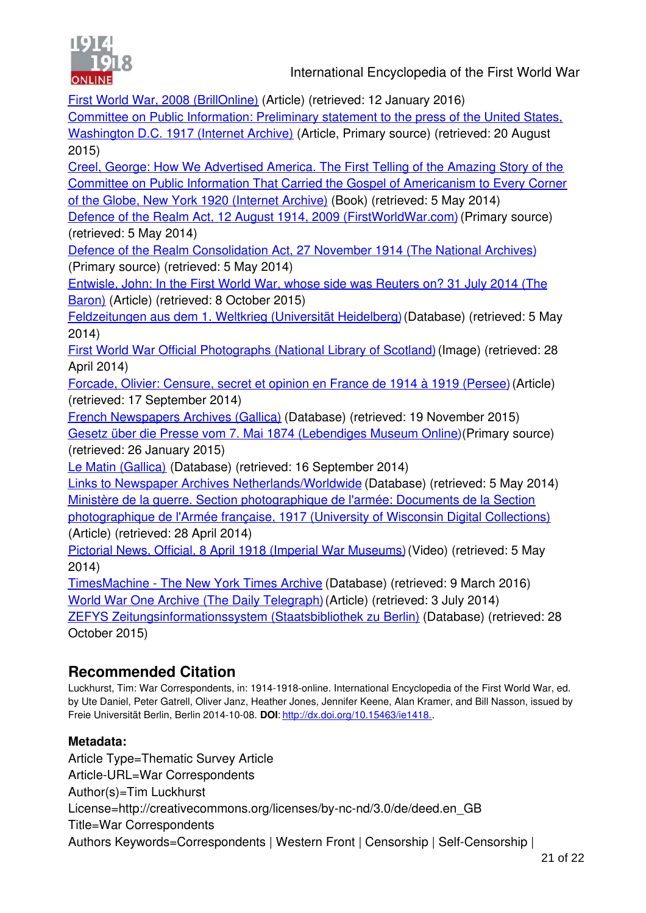

First World War, 2008 (BrillOnline) (Article) (retrieved: 12 January 2016)

[Committee on Public Information: Preliminary statement to the press of the United States,](https://archive.org/details/preliminarystate00unit) Washington D.C. 1917 (Internet Archive) (Article, Primary source) (retrieved: 20 August 2015)

Creel, George: How We Advertised America. The First Telling of the Amazing Story of the [Committee on Public Information That Carried the Gospel of Americanism to Every Corner](https://archive.org/details/howweadvertameri00creerich) of the Globe, New York 1920 (Internet Archive) (Book) (retrieved: 5 May 2014)

[Defence of the Realm Act, 12 August 1914, 2009 \(FirstWorldWar.com\)](http://www.firstworldwar.com/source/defenceoftherealm.htm) (Primary source) (retrieved: 5 May 2014)

[Defence of the Realm Consolidation Act, 27 November 1914 \(The National Archives\)](http://www.nationalarchives.gov.uk/pathways/firstworldwar/first_world_war/p_defence.htm) (Primary source) (retrieved: 5 May 2014)

[Entwisle, John: In the First World War, whose side was Reuters on? 31 July 2014 \(The](http://thebaron.info/archives/in-the-first-world-war-whose-side-was-reuters-on) Baron) (Article) (retrieved: 8 October 2015)

[Feldzeitungen aus dem 1. Weltkrieg \(Universität Heidelberg\)](http://www.ub.uni-heidelberg.de/helios/digi/feldzeitungen.html) (Database) (retrieved: 5 May 2014)

[First World War Official Photographs \(National Library of Scotland\)](http://digital.nls.uk/first-world-war-official-photographs/pageturner.cfm?mode=gallery&id=75171407&sn=1) (Image) (retrieved: 28 April 2014)

[Forcade, Olivier: Censure, secret et opinion en France de 1914 à 1919 \(Persee\)](http://www.persee.fr/web/revues/home/prescript/article/mat_0769-3206_2000_num_58_1_404249) (Article) (retrieved: 17 September 2014)

[French Newspapers Archives \(Gallica\)](http://gallica.bnf.fr/html/und/presse-et-revues/presse-et-revues) (Database) (retrieved: 19 November 2015) [Gesetz über die Presse vom 7. Mai 1874 \(Lebendiges Museum Online\)](http://www.dhm.de/lemo/objekte/pict/z465_1874_02/index.html) (Primary source) (retrieved: 26 January 2015)

[Le Matin \(Gallica\)](http://gallica.bnf.fr/ark:/12148/cb328123058/date.r=Le%2BMatin%2B) (Database) (retrieved: 16 September 2014)

[Links to Newspaper Archives Netherlands/Worldwide](http://kranten-historisch.startpagina.nl/) (Database) (retrieved: 5 May 2014) Ministère de la guerre. Section photographique de l'armée: Documents de la Section [photographique de l'Armée française, 1917 \(University of Wisconsin Digital Collections\)](http://digicoll.library.wisc.edu/cgi-bin/History/History-idx?type=turn&entity=History.FrenchImages.p0001&id=History.FrenchImages&isize=M) (Article) (retrieved: 28 April 2014)

[Pictorial News, Official, 8 April 1918 \(Imperial War Museums\)](http://www.iwm.org.uk/collections/item/object/1060005453) (Video) (retrieved: 5 May 2014)

[TimesMachine - The New York Times Archive](http://timesmachine.nytimes.com/browser) (Database) (retrieved: 9 March 2016) [World War One Archive \(The Daily Telegraph\)](http://www.telegraph.co.uk/news/ww1-archive/) (Article) (retrieved: 3 July 2014) [ZEFYS Zeitungsinformationssystem \(Staatsbibliothek zu Berlin\)](http://zefys.staatsbibliothek-berlin.de/) (Database) (retrieved: 28 October 2015)

#### **Recommended Citation**

Luckhurst, Tim: War Correspondents, in: 1914-1918-online. International Encyclopedia of the First World War, ed. by Ute Daniel, Peter Gatrell, Oliver Janz, Heather Jones, Jennifer Keene, Alan Kramer, and Bill Nasson, issued by Freie Universität Berlin, Berlin 2014-10-08. **DOI**: [http://dx.doi.org/10.15463/ie1418..](http://dx.doi.org/10.15463/ie1418.)

#### **Metadata:**

Article Type=Thematic Survey Article Article-URL=War Correspondents Author(s)=Tim Luckhurst License=http://creativecommons.org/licenses/by-nc-nd/3.0/de/deed.en\_GB Title=War Correspondents Authors Keywords=Correspondents | Western Front | Censorship | Self-Censorship |